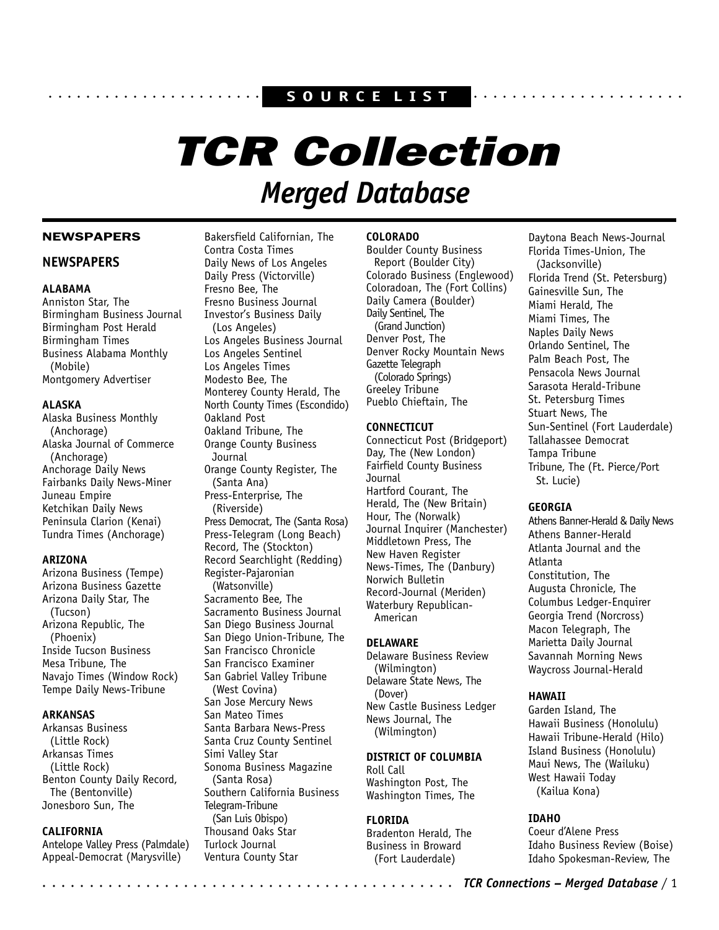# aaaaaaaaaaaaaaa aaaaaaaa **S O U R C E L I S T** aaaaaaaaaaaaaaaaaaaaaa

# TCR Collection *Merged Database*

# NEWSPAPERS

# **NEWSPAPERS**

# **ALABAMA**

Anniston Star, The Birmingham Business Journal Birmingham Post Herald Birmingham Times Business Alabama Monthly (Mobile) Montgomery Advertiser

# **ALASKA**

Alaska Business Monthly (Anchorage) Alaska Journal of Commerce (Anchorage) Anchorage Daily News Fairbanks Daily News-Miner Juneau Empire Ketchikan Daily News Peninsula Clarion (Kenai) Tundra Times (Anchorage)

# **ARIZONA**

Arizona Business (Tempe) Arizona Business Gazette Arizona Daily Star, The (Tucson) Arizona Republic, The (Phoenix) Inside Tucson Business Mesa Tribune, The Navajo Times (Window Rock) Tempe Daily News-Tribune

## **ARKANSAS**

Arkansas Business (Little Rock) Arkansas Times (Little Rock) Benton County Daily Record, The (Bentonville) Jonesboro Sun, The

# **CALIFORNIA**

Antelope Valley Press (Palmdale) Appeal-Democrat (Marysville)

Bakersfield Californian, The Contra Costa Times Daily News of Los Angeles Daily Press (Victorville) Fresno Bee, The Fresno Business Journal Investor's Business Daily (Los Angeles) Los Angeles Business Journal Los Angeles Sentinel Los Angeles Times Modesto Bee, The Monterey County Herald, The North County Times (Escondido) Oakland Post Oakland Tribune, The Orange County Business Journal Orange County Register, The (Santa Ana) Press-Enterprise, The (Riverside) Press Democrat, The (Santa Rosa) Press-Telegram (Long Beach) Record, The (Stockton) Record Searchlight (Redding) Register-Pajaronian (Watsonville) Sacramento Bee, The Sacramento Business Journal San Diego Business Journal San Diego Union-Tribune, The San Francisco Chronicle San Francisco Examiner San Gabriel Valley Tribune (West Covina) San Jose Mercury News San Mateo Times Santa Barbara News-Press Santa Cruz County Sentinel Simi Valley Star Sonoma Business Magazine (Santa Rosa) Southern California Business Telegram-Tribune

(San Luis Obispo) Thousand Oaks Star Turlock Journal Ventura County Star

# **COLORADO**

Boulder County Business Report (Boulder City) Colorado Business (Englewood) Coloradoan, The (Fort Collins) Daily Camera (Boulder) Daily Sentinel, The (Grand Junction) Denver Post, The Denver Rocky Mountain News Gazette Telegraph (Colorado Springs) Greeley Tribune Pueblo Chieftain, The

# **CONNECTICUT**

Connecticut Post (Bridgeport) Day, The (New London) Fairfield County Business **Journal** Hartford Courant, The Herald, The (New Britain) Hour, The (Norwalk) Journal Inquirer (Manchester) Middletown Press, The New Haven Register News-Times, The (Danbury) Norwich Bulletin Record-Journal (Meriden) Waterbury Republican-American

# **DELAWARE**

Delaware Business Review (Wilmington) Delaware State News, The (Dover) New Castle Business Ledger News Journal, The (Wilmington)

# **DISTRICT OF COLUMBIA**

Roll Call Washington Post, The Washington Times, The

# **FLORIDA**

Bradenton Herald, The Business in Broward (Fort Lauderdale)

Daytona Beach News-Journal Florida Times-Union, The (Jacksonville) Florida Trend (St. Petersburg) Gainesville Sun, The Miami Herald, The Miami Times, The Naples Daily News Orlando Sentinel, The Palm Beach Post, The Pensacola News Journal Sarasota Herald-Tribune St. Petersburg Times Stuart News, The Sun-Sentinel (Fort Lauderdale) Tallahassee Democrat Tampa Tribune Tribune, The (Ft. Pierce/Port St. Lucie)

## **GEORGIA**

Athens Banner-Herald & Daily News Athens Banner-Herald Atlanta Journal and the Atlanta Constitution, The Augusta Chronicle, The Columbus Ledger-Enquirer Georgia Trend (Norcross) Macon Telegraph, The Marietta Daily Journal Savannah Morning News Waycross Journal-Herald

# **HAWAII**

Garden Island, The Hawaii Business (Honolulu) Hawaii Tribune-Herald (Hilo) Island Business (Honolulu) Maui News, The (Wailuku) West Hawaii Today (Kailua Kona)

# **IDAHO**

Coeur d'Alene Press Idaho Business Review (Boise) Idaho Spokesman-Review, The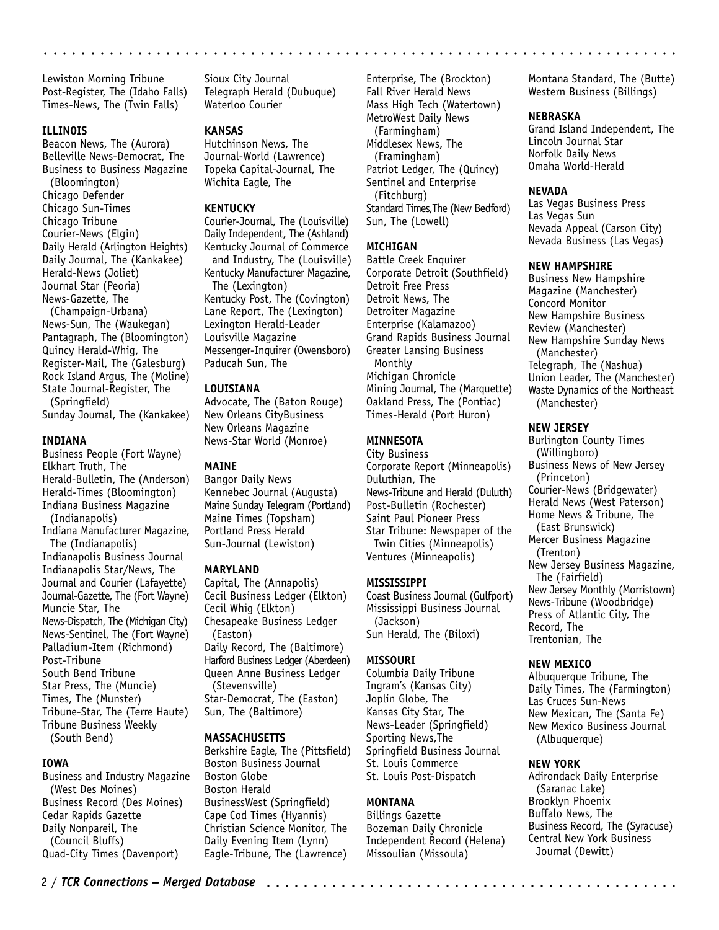Lewiston Morning Tribune Post-Register, The (Idaho Falls) Times-News, The (Twin Falls)

#### **ILLINOIS**

Beacon News, The (Aurora) Belleville News-Democrat, The Business to Business Magazine (Bloomington)

Chicago Defender Chicago Sun-Times Chicago Tribune Courier-News (Elgin) Daily Herald (Arlington Heights) Daily Journal, The (Kankakee) Herald-News (Joliet) Journal Star (Peoria) News-Gazette, The

(Champaign-Urbana) News-Sun, The (Waukegan) Pantagraph, The (Bloomington) Quincy Herald-Whig, The Register-Mail, The (Galesburg) Rock Island Argus, The (Moline) State Journal-Register, The (Springfield)

Sunday Journal, The (Kankakee)

#### **INDIANA**

Business People (Fort Wayne) Elkhart Truth, The Herald-Bulletin, The (Anderson) Herald-Times (Bloomington) Indiana Business Magazine (Indianapolis) Indiana Manufacturer Magazine, The (Indianapolis) Indianapolis Business Journal Indianapolis Star/News, The Journal and Courier (Lafayette) Journal-Gazette, The (Fort Wayne) Muncie Star, The News-Dispatch, The (Michigan City) News-Sentinel, The (Fort Wayne) Palladium-Item (Richmond) Post-Tribune South Bend Tribune Star Press, The (Muncie) Times, The (Munster) Tribune-Star, The (Terre Haute) Tribune Business Weekly (South Bend)

# **IOWA**

Business and Industry Magazine (West Des Moines) Business Record (Des Moines) Cedar Rapids Gazette Daily Nonpareil, The (Council Bluffs) Quad-City Times (Davenport)

Sioux City Journal Telegraph Herald (Dubuque) Waterloo Courier

## **KANSAS**

Hutchinson News, The Journal-World (Lawrence) Topeka Capital-Journal, The Wichita Eagle, The

#### **KENTUCKY**

Courier-Journal, The (Louisville) Daily Independent, The (Ashland) Kentucky Journal of Commerce and Industry, The (Louisville) Kentucky Manufacturer Magazine, The (Lexington) Kentucky Post, The (Covington) Lane Report, The (Lexington) Lexington Herald-Leader Louisville Magazine Messenger-Inquirer (Owensboro) Paducah Sun, The

#### **LOUISIANA**

Advocate, The (Baton Rouge) New Orleans CityBusiness New Orleans Magazine News-Star World (Monroe)

# **MAINE**

Bangor Daily News Kennebec Journal (Augusta) Maine Sunday Telegram (Portland) Maine Times (Topsham) Portland Press Herald Sun-Journal (Lewiston)

#### **MARYLAND**

Capital, The (Annapolis) Cecil Business Ledger (Elkton) Cecil Whig (Elkton) Chesapeake Business Ledger (Easton) Daily Record, The (Baltimore) Harford Business Ledger (Aberdeen) Queen Anne Business Ledger (Stevensville) Star-Democrat, The (Easton) Sun, The (Baltimore)

#### **MASSACHUSETTS**

Berkshire Eagle, The (Pittsfield) Boston Business Journal Boston Globe Boston Herald BusinessWest (Springfield) Cape Cod Times (Hyannis) Christian Science Monitor, The Daily Evening Item (Lynn) Eagle-Tribune, The (Lawrence)

Enterprise, The (Brockton) Fall River Herald News Mass High Tech (Watertown) MetroWest Daily News (Farmingham) Middlesex News, The (Framingham) Patriot Ledger, The (Quincy) Sentinel and Enterprise (Fitchburg) Standard Times,The (New Bedford) Sun, The (Lowell)

#### **MICHIGAN**

aaaaaaaaaaaaaaaaaaaaaaaaaaaaaaaaaaaa aaaaaaaaaaaaaaaaaaaaaaaaaaaaaaaa

Battle Creek Enquirer Corporate Detroit (Southfield) Detroit Free Press Detroit News, The Detroiter Magazine Enterprise (Kalamazoo) Grand Rapids Business Journal Greater Lansing Business Monthly Michigan Chronicle Mining Journal, The (Marquette) Oakland Press, The (Pontiac) Times-Herald (Port Huron)

#### **MINNESOTA**

City Business Corporate Report (Minneapolis) Duluthian, The News-Tribune and Herald (Duluth) Post-Bulletin (Rochester) Saint Paul Pioneer Press Star Tribune: Newspaper of the Twin Cities (Minneapolis) Ventures (Minneapolis)

## **MISSISSIPPI**

Coast Business Journal (Gulfport) Mississippi Business Journal (Jackson) Sun Herald, The (Biloxi)

#### **MISSOURI**

Columbia Daily Tribune Ingram's (Kansas City) Joplin Globe, The Kansas City Star, The News-Leader (Springfield) Sporting News,The Springfield Business Journal St. Louis Commerce St. Louis Post-Dispatch

# **MONTANA**

Billings Gazette Bozeman Daily Chronicle Independent Record (Helena) Missoulian (Missoula)

Montana Standard, The (Butte) Western Business (Billings)

#### **NEBRASKA**

Grand Island Independent, The Lincoln Journal Star Norfolk Daily News Omaha World-Herald

#### **NEVADA**

Las Vegas Business Press Las Vegas Sun Nevada Appeal (Carson City) Nevada Business (Las Vegas)

#### **NEW HAMPSHIRE**

Business New Hampshire Magazine (Manchester) Concord Monitor New Hampshire Business Review (Manchester) New Hampshire Sunday News (Manchester) Telegraph, The (Nashua) Union Leader, The (Manchester) Waste Dynamics of the Northeast (Manchester)

## **NEW JERSEY**

Burlington County Times (Willingboro) Business News of New Jersey (Princeton) Courier-News (Bridgewater) Herald News (West Paterson) Home News & Tribune, The (East Brunswick) Mercer Business Magazine (Trenton) New Jersey Business Magazine, The (Fairfield) New Jersey Monthly (Morristown) News-Tribune (Woodbridge) Press of Atlantic City, The Record, The Trentonian, The

#### **NEW MEXICO**

Albuquerque Tribune, The Daily Times, The (Farmington) Las Cruces Sun-News New Mexican, The (Santa Fe) New Mexico Business Journal (Albuquerque)

#### **NEW YORK**

Adirondack Daily Enterprise (Saranac Lake) Brooklyn Phoenix Buffalo News, The Business Record, The (Syracuse) Central New York Business Journal (Dewitt)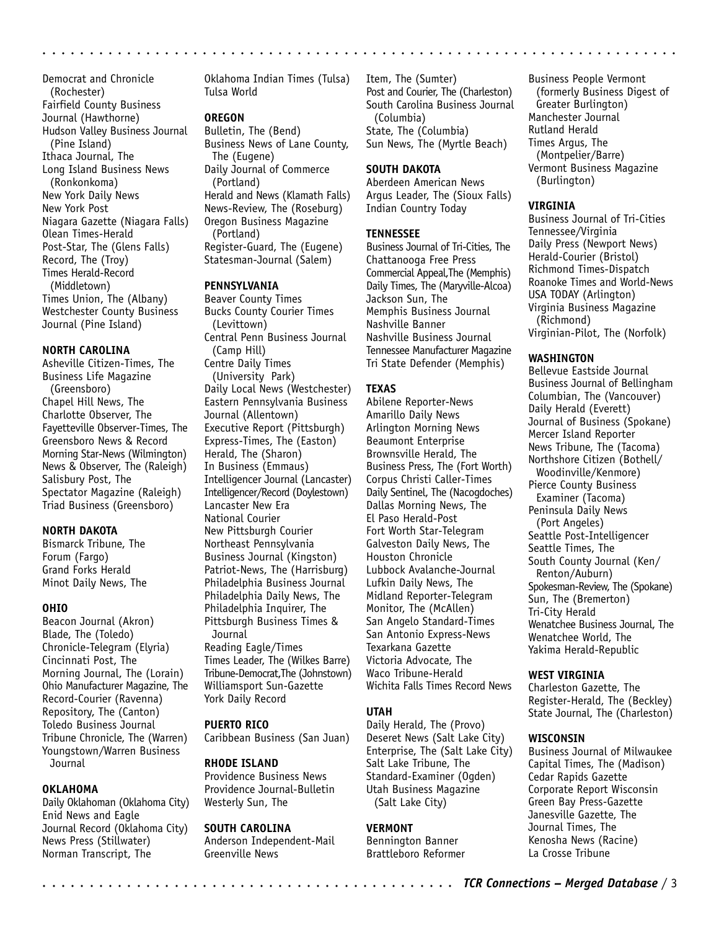Democrat and Chronicle (Rochester) Fairfield County Business Journal (Hawthorne) Hudson Valley Business Journal (Pine Island) Ithaca Journal, The Long Island Business News (Ronkonkoma) New York Daily News New York Post Niagara Gazette (Niagara Falls) Olean Times-Herald Post-Star, The (Glens Falls) Record, The (Troy) Times Herald-Record (Middletown) Times Union, The (Albany) Westchester County Business Journal (Pine Island)

#### **NORTH CAROLINA**

Asheville Citizen-Times, The Business Life Magazine (Greensboro) Chapel Hill News, The Charlotte Observer, The Fayetteville Observer-Times, The Greensboro News & Record Morning Star-News (Wilmington) News & Observer, The (Raleigh) Salisbury Post, The Spectator Magazine (Raleigh) Triad Business (Greensboro)

## **NORTH DAKOTA**

Bismarck Tribune, The Forum (Fargo) Grand Forks Herald Minot Daily News, The

#### **OHIO**

Beacon Journal (Akron) Blade, The (Toledo) Chronicle-Telegram (Elyria) Cincinnati Post, The Morning Journal, The (Lorain) Ohio Manufacturer Magazine, The Record-Courier (Ravenna) Repository, The (Canton) Toledo Business Journal Tribune Chronicle, The (Warren) Youngstown/Warren Business **Journal** 

# **OKLAHOMA**

Daily Oklahoman (Oklahoma City) Enid News and Eagle Journal Record (Oklahoma City) News Press (Stillwater) Norman Transcript, The

Oklahoma Indian Times (Tulsa) Tulsa World

# **OREGON**

Bulletin, The (Bend) Business News of Lane County, The (Eugene) Daily Journal of Commerce (Portland) Herald and News (Klamath Falls) News-Review, The (Roseburg) Oregon Business Magazine (Portland) Register-Guard, The (Eugene) Statesman-Journal (Salem)

# **PENNSYLVANIA**

Beaver County Times Bucks County Courier Times (Levittown) Central Penn Business Journal (Camp Hill) Centre Daily Times (University Park) Daily Local News (Westchester) Eastern Pennsylvania Business Journal (Allentown) Executive Report (Pittsburgh) Express-Times, The (Easton) Herald, The (Sharon) In Business (Emmaus) Intelligencer Journal (Lancaster) Intelligencer/Record (Doylestown) Lancaster New Era National Courier New Pittsburgh Courier Northeast Pennsylvania Business Journal (Kingston) Patriot-News, The (Harrisburg) Philadelphia Business Journal Philadelphia Daily News, The Philadelphia Inquirer, The Pittsburgh Business Times & Journal Reading Eagle/Times Times Leader, The (Wilkes Barre) Tribune-Democrat,The (Johnstown) Williamsport Sun-Gazette York Daily Record

## **PUERTO RICO**

Caribbean Business (San Juan)

#### **RHODE ISLAND**

Providence Business News Providence Journal-Bulletin Westerly Sun, The

# **SOUTH CAROLINA**

Anderson Independent-Mail Greenville News

Item, The (Sumter) Post and Courier, The (Charleston) South Carolina Business Journal (Columbia) State, The (Columbia) Sun News, The (Myrtle Beach)

## **SOUTH DAKOTA**

Aberdeen American News Argus Leader, The (Sioux Falls) Indian Country Today

# **TENNESSEE**

aaaaaaaaaaaaaaaaaaaaaaaaaaaaaaaaaaaaaaaaaaaaa aaaaaaaaaaaaaaaaaaaaaaa

Business Journal of Tri-Cities, The Chattanooga Free Press Commercial Appeal,The (Memphis) Daily Times, The (Maryville-Alcoa) Jackson Sun, The Memphis Business Journal Nashville Banner Nashville Business Journal Tennessee Manufacturer Magazine Tri State Defender (Memphis)

## **TEXAS**

Abilene Reporter-News Amarillo Daily News Arlington Morning News Beaumont Enterprise Brownsville Herald, The Business Press, The (Fort Worth) Corpus Christi Caller-Times Daily Sentinel, The (Nacogdoches) Dallas Morning News, The El Paso Herald-Post Fort Worth Star-Telegram Galveston Daily News, The Houston Chronicle Lubbock Avalanche-Journal Lufkin Daily News, The Midland Reporter-Telegram Monitor, The (McAllen) San Angelo Standard-Times San Antonio Express-News Texarkana Gazette Victoria Advocate, The Waco Tribune-Herald Wichita Falls Times Record News

## **UTAH**

Daily Herald, The (Provo) Deseret News (Salt Lake City) Enterprise, The (Salt Lake City) Salt Lake Tribune, The Standard-Examiner (Ogden) Utah Business Magazine (Salt Lake City)

## **VERMONT**

Bennington Banner Brattleboro Reformer

Business People Vermont (formerly Business Digest of Greater Burlington) Manchester Journal Rutland Herald Times Argus, The (Montpelier/Barre) Vermont Business Magazine (Burlington)

## **VIRGINIA**

Business Journal of Tri-Cities Tennessee/Virginia Daily Press (Newport News) Herald-Courier (Bristol) Richmond Times-Dispatch Roanoke Times and World-News USA TODAY (Arlington) Virginia Business Magazine (Richmond) Virginian-Pilot, The (Norfolk)

## **WASHINGTON**

Bellevue Eastside Journal Business Journal of Bellingham Columbian, The (Vancouver) Daily Herald (Everett) Journal of Business (Spokane) Mercer Island Reporter News Tribune, The (Tacoma) Northshore Citizen (Bothell/ Woodinville/Kenmore) Pierce County Business Examiner (Tacoma) Peninsula Daily News (Port Angeles) Seattle Post-Intelligencer Seattle Times, The South County Journal (Ken/ Renton/Auburn) Spokesman-Review, The (Spokane) Sun, The (Bremerton) Tri-City Herald Wenatchee Business Journal, The Wenatchee World, The Yakima Herald-Republic

## **WEST VIRGINIA**

Charleston Gazette, The Register-Herald, The (Beckley) State Journal, The (Charleston)

#### **WISCONSIN**

Business Journal of Milwaukee Capital Times, The (Madison) Cedar Rapids Gazette Corporate Report Wisconsin Green Bay Press-Gazette Janesville Gazette, The Journal Times, The Kenosha News (Racine) La Crosse Tribune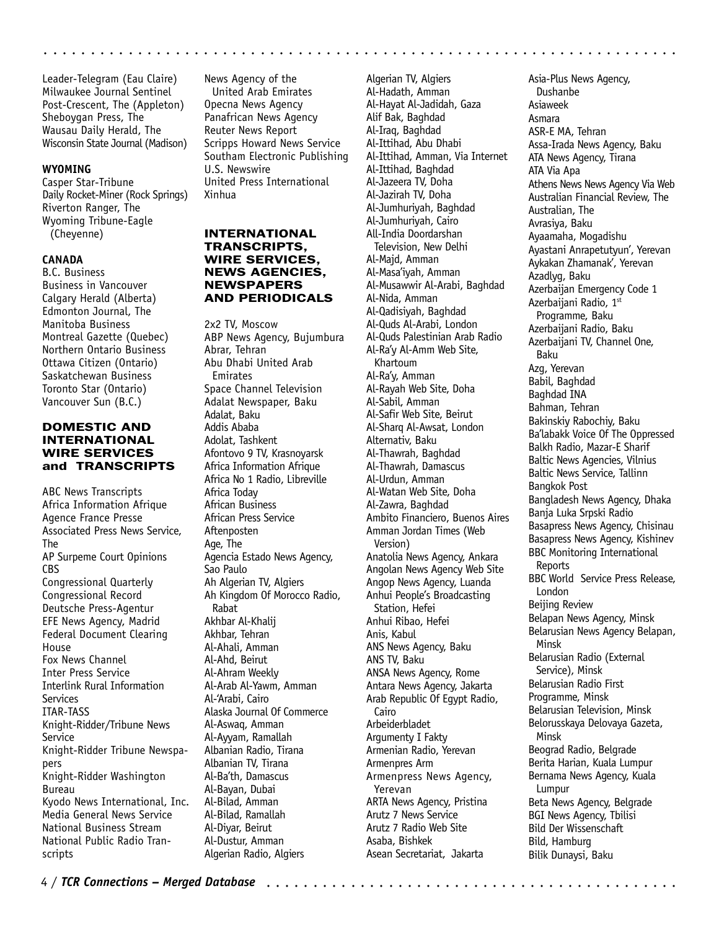Leader-Telegram (Eau Claire) Milwaukee Journal Sentinel Post-Crescent, The (Appleton) Sheboygan Press, The Wausau Daily Herald, The Wisconsin State Journal (Madison)

#### **WYOMING**

Casper Star-Tribune Daily Rocket-Miner (Rock Springs) Riverton Ranger, The Wyoming Tribune-Eagle (Cheyenne)

## **CANADA**

B.C. Business Business in Vancouver Calgary Herald (Alberta) Edmonton Journal, The Manitoba Business Montreal Gazette (Quebec) Northern Ontario Business Ottawa Citizen (Ontario) Saskatchewan Business Toronto Star (Ontario) Vancouver Sun (B.C.)

# DOMESTIC AND INTERNATIONAL WIRE SERVICES and TRANSCRIPTS

ABC News Transcripts Africa Information Afrique Agence France Presse Associated Press News Service, The AP Surpeme Court Opinions CBS Congressional Quarterly Congressional Record Deutsche Press-Agentur EFE News Agency, Madrid Federal Document Clearing House Fox News Channel Inter Press Service Interlink Rural Information Services ITAR-TASS Knight-Ridder/Tribune News Service Knight-Ridder Tribune Newspapers Knight-Ridder Washington Bureau Kyodo News International, Inc. Media General News Service National Business Stream National Public Radio Transcripts

News Agency of the United Arab Emirates Opecna News Agency Panafrican News Agency Reuter News Report Scripps Howard News Service Southam Electronic Publishing U.S. Newswire United Press International Xinhua

aaaaaaaaaaaaaaaaaaaaaaaaaaaaaaaaaaaa aaaaaaaaaaaaaaaaaaaaaaaaaaaaaaaa

# INTERNATIONAL TRANSCRIPTS, WIRE SERVICES, NEWS AGENCIES, NEWSPAPERS AND PERIODICALS

2x2 TV, Moscow ABP News Agency, Bujumbura Abrar, Tehran Abu Dhabi United Arab Emirates Space Channel Television Adalat Newspaper, Baku Adalat, Baku Addis Ababa Adolat, Tashkent Afontovo 9 TV, Krasnoyarsk Africa Information Afrique Africa No 1 Radio, Libreville Africa Today African Business African Press Service Aftenposten Age, The Agencia Estado News Agency, Sao Paulo Ah Algerian TV, Algiers Ah Kingdom Of Morocco Radio, Rabat Akhbar Al-Khalij Akhbar, Tehran Al-Ahali, Amman Al-Ahd, Beirut Al-Ahram Weekly Al-Arab Al-Yawm, Amman Al-'Arabi, Cairo Alaska Journal Of Commerce Al-Aswaq, Amman Al-Ayyam, Ramallah Albanian Radio, Tirana Albanian TV, Tirana Al-Ba'th, Damascus Al-Bayan, Dubai Al-Bilad, Amman Al-Bilad, Ramallah Al-Diyar, Beirut Al-Dustur, Amman Algerian Radio, Algiers

Algerian TV, Algiers Al-Hadath, Amman Al-Hayat Al-Jadidah, Gaza Alif Bak, Baghdad Al-Iraq, Baghdad Al-Ittihad, Abu Dhabi Al-Ittihad, Amman, Via Internet Al-Ittihad, Baghdad Al-Jazeera TV, Doha Al-Jazirah TV, Doha Al-Jumhuriyah, Baghdad Al-Jumhuriyah, Cairo All-India Doordarshan Television, New Delhi Al-Majd, Amman Al-Masa'iyah, Amman Al-Musawwir Al-Arabi, Baghdad Al-Nida, Amman Al-Qadisiyah, Baghdad Al-Quds Al-Arabi, London Al-Quds Palestinian Arab Radio Al-Ra'y Al-Amm Web Site, Khartoum Al-Ra'y, Amman Al-Rayah Web Site, Doha Al-Sabil, Amman Al-Safir Web Site, Beirut Al-Sharq Al-Awsat, London Alternativ, Baku Al-Thawrah, Baghdad Al-Thawrah, Damascus Al-Urdun, Amman Al-Watan Web Site, Doha Al-Zawra, Baghdad Ambito Financiero, Buenos Aires Amman Jordan Times (Web Version) Anatolia News Agency, Ankara Angolan News Agency Web Site Angop News Agency, Luanda Anhui People's Broadcasting Station, Hefei Anhui Ribao, Hefei Anis, Kabul ANS News Agency, Baku ANS TV, Baku ANSA News Agency, Rome Antara News Agency, Jakarta Arab Republic Of Egypt Radio, Cairo Arbeiderbladet Argumenty I Fakty Armenian Radio, Yerevan Armenpres Arm Armenpress News Agency, Yerevan ARTA News Agency, Pristina Arutz 7 News Service Arutz 7 Radio Web Site Asaba, Bishkek Asean Secretariat, Jakarta

Asia-Plus News Agency, Dushanbe Asiaweek Asmara ASR-E MA, Tehran Assa-Irada News Agency, Baku ATA News Agency, Tirana ATA Via Apa Athens News News Agency Via Web Australian Financial Review, The Australian, The Avrasiya, Baku Ayaamaha, Mogadishu Ayastani Anrapetutyun', Yerevan Aykakan Zhamanak', Yerevan Azadlyg, Baku Azerbaijan Emergency Code 1 Azerbaijani Radio, 1st Programme, Baku Azerbaijani Radio, Baku Azerbaijani TV, Channel One, Baku Azg, Yerevan Babil, Baghdad Baghdad INA Bahman, Tehran Bakinskiy Rabochiy, Baku Ba'labakk Voice Of The Oppressed Balkh Radio, Mazar-E Sharif Baltic News Agencies, Vilnius Baltic News Service, Tallinn Bangkok Post Bangladesh News Agency, Dhaka Banja Luka Srpski Radio Basapress News Agency, Chisinau Basapress News Agency, Kishinev BBC Monitoring International **Reports** BBC World Service Press Release, London Beijing Review Belapan News Agency, Minsk Belarusian News Agency Belapan, Minsk Belarusian Radio (External Service), Minsk Belarusian Radio First Programme, Minsk Belarusian Television, Minsk Belorusskaya Delovaya Gazeta, Minsk Beograd Radio, Belgrade Berita Harian, Kuala Lumpur Bernama News Agency, Kuala Lumpur Beta News Agency, Belgrade BGI News Agency, Tbilisi Bild Der Wissenschaft Bild, Hamburg Bilik Dunaysi, Baku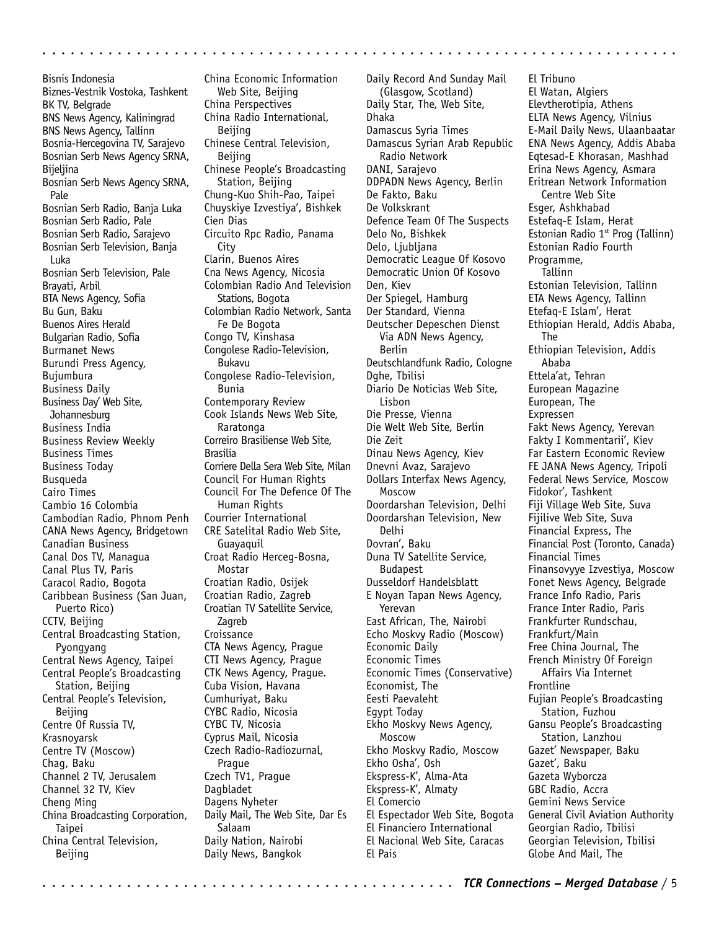Bisnis Indonesia Biznes-Vestnik Vostoka, Tashkent BK TV, Belgrade BNS News Agency, Kaliningrad BNS News Agency, Tallinn Bosnia-Hercegovina TV, Sarajevo Bosnian Serb News Agency SRNA, Bijeljina Bosnian Serb News Agency SRNA, Pale Bosnian Serb Radio, Banja Luka Bosnian Serb Radio, Pale Bosnian Serb Radio, Sarajevo Bosnian Serb Television, Banja Luka Bosnian Serb Television, Pale Brayati, Arbil BTA News Agency, Sofia Bu Gun, Baku Buenos Aires Herald Bulgarian Radio, Sofia Burmanet News Burundi Press Agency, Bujumbura Business Daily Business Day' Web Site, Johannesburg Business India Business Review Weekly Business Times Business Today Busqueda Cairo Times Cambio 16 Colombia Cambodian Radio, Phnom Penh CANA News Agency, Bridgetown Canadian Business Canal Dos TV, Managua Canal Plus TV, Paris Caracol Radio, Bogota Caribbean Business (San Juan, Puerto Rico) CCTV, Beijing Central Broadcasting Station, Pyongyang Central News Agency, Taipei Central People's Broadcasting Station, Beijing Central People's Television, Beijing Centre Of Russia TV, Krasnoyarsk Centre TV (Moscow) Chag, Baku Channel 2 TV, Jerusalem Channel 32 TV, Kiev Cheng Ming China Broadcasting Corporation, Taipei China Central Television, Beijing

China Economic Information Web Site, Beijing China Perspectives China Radio International, Beijing Chinese Central Television, Beijing Chinese People's Broadcasting Station, Beijing Chung-Kuo Shih-Pao, Taipei Chuyskiye Izvestiya', Bishkek Cien Dias Circuito Rpc Radio, Panama **City** Clarin, Buenos Aires Cna News Agency, Nicosia Colombian Radio And Television Stations, Bogota Colombian Radio Network, Santa Fe De Bogota Congo TV, Kinshasa Congolese Radio-Television, Bukavu Congolese Radio-Television, Bunia Contemporary Review Cook Islands News Web Site, Raratonga Correiro Brasiliense Web Site, Brasilia Corriere Della Sera Web Site, Milan Council For Human Rights Council For The Defence Of The Human Rights Courrier International CRE Satelital Radio Web Site, Guayaquil Croat Radio Herceg-Bosna, Mostar Croatian Radio, Osijek Croatian Radio, Zagreb Croatian TV Satellite Service, Zagreb **Croissance** CTA News Agency, Prague CTI News Agency, Prague CTK News Agency, Prague. Cuba Vision, Havana Cumhuriyat, Baku CYBC Radio, Nicosia CYBC TV, Nicosia Cyprus Mail, Nicosia Czech Radio-Radiozurnal, Prague Czech TV1, Prague Dagbladet Dagens Nyheter Daily Mail, The Web Site, Dar Es Salaam Daily Nation, Nairobi Daily News, Bangkok

Daily Record And Sunday Mail (Glasgow, Scotland) Daily Star, The, Web Site, Dhaka Damascus Syria Times Damascus Syrian Arab Republic Radio Network DANI, Sarajevo DDPADN News Agency, Berlin De Fakto, Baku De Volkskrant Defence Team Of The Suspects Delo No, Bishkek Delo, Ljubljana Democratic League Of Kosovo Democratic Union Of Kosovo Den, Kiev Der Spiegel, Hamburg Der Standard, Vienna Deutscher Depeschen Dienst Via ADN News Agency, Berlin Deutschlandfunk Radio, Cologne Dghe, Tbilisi Diario De Noticias Web Site, Lisbon Die Presse, Vienna Die Welt Web Site, Berlin Die Zeit Dinau News Agency, Kiev Dnevni Avaz, Sarajevo Dollars Interfax News Agency, Moscow Doordarshan Television, Delhi Doordarshan Television, New Delhi Dovran', Baku Duna TV Satellite Service, Budapest Dusseldorf Handelsblatt E Noyan Tapan News Agency, Yerevan East African, The, Nairobi Echo Moskvy Radio (Moscow) Economic Daily Economic Times Economic Times (Conservative) Economist, The Eesti Paevaleht Egypt Today Ekho Moskvy News Agency, Moscow Ekho Moskvy Radio, Moscow Ekho Osha', Osh Ekspress-K', Alma-Ata Ekspress-K', Almaty El Comercio El Espectador Web Site, Bogota El Financiero International El Nacional Web Site, Caracas El Pais

aaaaaaaaaaaaaaaaaaaaaaaaaaaaaaaaaaaaaaaaaaaaa aaaaaaaaaaaaaaaaaaaaaaa

El Tribuno El Watan, Algiers Elevtherotipia, Athens ELTA News Agency, Vilnius E-Mail Daily News, Ulaanbaatar ENA News Agency, Addis Ababa Eqtesad-E Khorasan, Mashhad Erina News Agency, Asmara Eritrean Network Information Centre Web Site Esger, Ashkhabad Estefaq-E Islam, Herat Estonian Radio  $1<sup>st</sup>$  Prog (Tallinn) Estonian Radio Fourth Programme, Tallinn Estonian Television, Tallinn ETA News Agency, Tallinn Etefaq-E Islam', Herat Ethiopian Herald, Addis Ababa, The Ethiopian Television, Addis Ababa Ettela'at, Tehran European Magazine European, The Expressen Fakt News Agency, Yerevan Fakty I Kommentarii', Kiev Far Eastern Economic Review FE JANA News Agency, Tripoli Federal News Service, Moscow Fidokor', Tashkent Fiji Village Web Site, Suva Fijilive Web Site, Suva Financial Express, The Financial Post (Toronto, Canada) Financial Times Finansovyye Izvestiya, Moscow Fonet News Agency, Belgrade France Info Radio, Paris France Inter Radio, Paris Frankfurter Rundschau, Frankfurt/Main Free China Journal, The French Ministry Of Foreign Affairs Via Internet Frontline Fujian People's Broadcasting Station, Fuzhou Gansu People's Broadcasting Station, Lanzhou Gazet' Newspaper, Baku Gazet', Baku Gazeta Wyborcza GBC Radio, Accra Gemini News Service General Civil Aviation Authority Georgian Radio, Tbilisi Georgian Television, Tbilisi Globe And Mail, The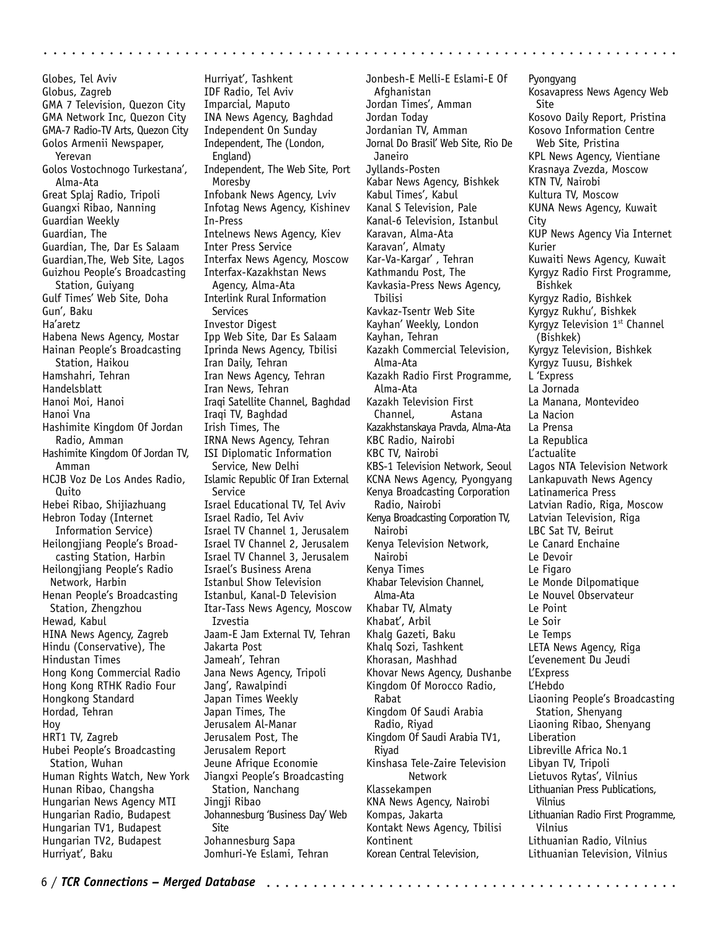Globes, Tel Aviv Globus, Zagreb GMA 7 Television, Quezon City GMA Network Inc, Quezon City GMA-7 Radio-TV Arts, Quezon City Golos Armenii Newspaper, Yerevan Golos Vostochnogo Turkestana', Alma-Ata Great Splaj Radio, Tripoli Guangxi Ribao, Nanning Guardian Weekly Guardian, The Guardian, The, Dar Es Salaam Guardian,The, Web Site, Lagos Guizhou People's Broadcasting Station, Guiyang Gulf Times' Web Site, Doha Gun', Baku Ha'aretz Habena News Agency, Mostar Hainan People's Broadcasting Station, Haikou Hamshahri, Tehran Handelsblatt Hanoi Moi, Hanoi Hanoi Vna Hashimite Kingdom Of Jordan Radio, Amman Hashimite Kingdom Of Jordan TV, Amman HCJB Voz De Los Andes Radio, Quito Hebei Ribao, Shijiazhuang Hebron Today (Internet Information Service) Heilongjiang People's Broadcasting Station, Harbin Heilongjiang People's Radio Network, Harbin Henan People's Broadcasting Station, Zhengzhou Hewad, Kabul HINA News Agency, Zagreb Hindu (Conservative), The Hindustan Times Hong Kong Commercial Radio Hong Kong RTHK Radio Four Hongkong Standard Hordad, Tehran Hoy HRT1 TV, Zagreb Hubei People's Broadcasting Station, Wuhan Human Rights Watch, New York Hunan Ribao, Changsha Hungarian News Agency MTI Hungarian Radio, Budapest Hungarian TV1, Budapest Hungarian TV2, Budapest Hurriyat', Baku

Hurriyat', Tashkent IDF Radio, Tel Aviv Imparcial, Maputo INA News Agency, Baghdad Independent On Sunday Independent, The (London, England) Independent, The Web Site, Port Moresby Infobank News Agency, Lviv Infotag News Agency, Kishinev In-Press Intelnews News Agency, Kiev Inter Press Service Interfax News Agency, Moscow Interfax-Kazakhstan News Agency, Alma-Ata Interlink Rural Information Services Investor Digest Ipp Web Site, Dar Es Salaam Iprinda News Agency, Tbilisi Iran Daily, Tehran Iran News Agency, Tehran Iran News, Tehran Iraqi Satellite Channel, Baghdad Iraqi TV, Baghdad Irish Times, The IRNA News Agency, Tehran ISI Diplomatic Information Service, New Delhi Islamic Republic Of Iran External Service Israel Educational TV, Tel Aviv Israel Radio, Tel Aviv Israel TV Channel 1, Jerusalem Israel TV Channel 2, Jerusalem Israel TV Channel 3, Jerusalem Israel's Business Arena Istanbul Show Television Istanbul, Kanal-D Television Itar-Tass News Agency, Moscow Izvestia Jaam-E Jam External TV, Tehran Jakarta Post Jameah', Tehran Jana News Agency, Tripoli Jang', Rawalpindi Japan Times Weekly Japan Times, The Jerusalem Al-Manar Jerusalem Post, The Jerusalem Report Jeune Afrique Economie Jiangxi People's Broadcasting Station, Nanchang Jingji Ribao Johannesburg 'Business Day' Web Site Johannesburg Sapa Jomhuri-Ye Eslami, Tehran

Jonbesh-E Melli-E Eslami-E Of Afghanistan Jordan Times', Amman Jordan Today Jordanian TV, Amman Jornal Do Brasil' Web Site, Rio De Janeiro Jyllands-Posten Kabar News Agency, Bishkek Kabul Times', Kabul Kanal S Television, Pale Kanal-6 Television, Istanbul Karavan, Alma-Ata Karavan', Almaty Kar-Va-Kargar' , Tehran Kathmandu Post, The Kavkasia-Press News Agency, Tbilisi Kavkaz-Tsentr Web Site Kayhan' Weekly, London Kayhan, Tehran Kazakh Commercial Television, Alma-Ata Kazakh Radio First Programme, Alma-Ata Kazakh Television First Channel, Astana Kazakhstanskaya Pravda, Alma-Ata KBC Radio, Nairobi KBC TV, Nairobi KBS-1 Television Network, Seoul KCNA News Agency, Pyongyang Kenya Broadcasting Corporation Radio, Nairobi Kenya Broadcasting Corporation TV, Nairobi Kenya Television Network, Nairobi Kenya Times Khabar Television Channel, Alma-Ata Khabar TV, Almaty Khabat', Arbil Khalg Gazeti, Baku Khalq Sozi, Tashkent Khorasan, Mashhad Khovar News Agency, Dushanbe Kingdom Of Morocco Radio, Rabat Kingdom Of Saudi Arabia Radio, Riyad Kingdom Of Saudi Arabia TV1, Riyad Kinshasa Tele-Zaire Television Network Klassekampen KNA News Agency, Nairobi Kompas, Jakarta Kontakt News Agency, Tbilisi Kontinent Korean Central Television,

aaaaaaaaaaaaaaaaaaaaaaaaaaaaaaaaaaaa aaaaaaaaaaaaaaaaaaaaaaaaaaaaaaaa

Pyongyang Kosavapress News Agency Web Site Kosovo Daily Report, Pristina Kosovo Information Centre Web Site, Pristina KPL News Agency, Vientiane Krasnaya Zvezda, Moscow KTN TV, Nairobi Kultura TV, Moscow KUNA News Agency, Kuwait City KUP News Agency Via Internet Kurier Kuwaiti News Agency, Kuwait Kyrgyz Radio First Programme, Bishkek Kyrgyz Radio, Bishkek Kyrgyz Rukhu', Bishkek Kyrgyz Television 1<sup>st</sup> Channel (Bishkek) Kyrgyz Television, Bishkek Kyrgyz Tuusu, Bishkek L 'Express La Jornada La Manana, Montevideo La Nacion La Prensa La Republica L'actualite Lagos NTA Television Network Lankapuvath News Agency Latinamerica Press Latvian Radio, Riga, Moscow Latvian Television, Riga LBC Sat TV, Beirut Le Canard Enchaine Le Devoir Le Figaro Le Monde Dilpomatique Le Nouvel Observateur Le Point Le Soir Le Temps LETA News Agency, Riga L'evenement Du Jeudi L'Express L'Hebdo Liaoning People's Broadcasting Station, Shenyang Liaoning Ribao, Shenyang Liberation Libreville Africa No.1 Libyan TV, Tripoli Lietuvos Rytas', Vilnius Lithuanian Press Publications, Vilnius Lithuanian Radio First Programme, Vilnius Lithuanian Radio, Vilnius Lithuanian Television, Vilnius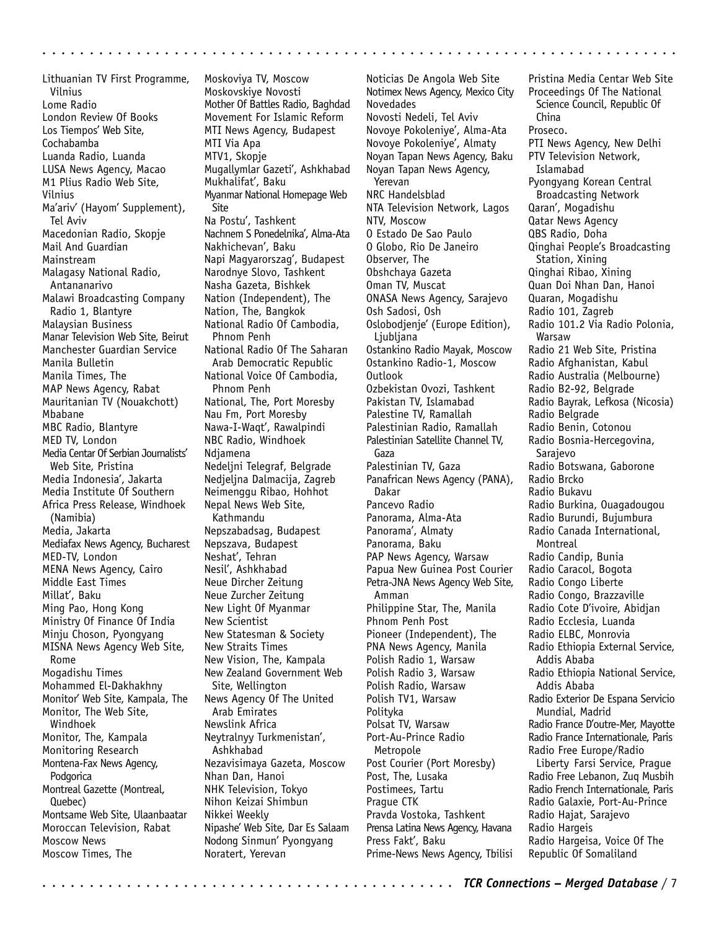Lithuanian TV First Programme, Vilnius Lome Radio London Review Of Books Los Tiempos' Web Site, Cochabamba Luanda Radio, Luanda LUSA News Agency, Macao M1 Plius Radio Web Site, Vilnius Ma'ariv' (Hayom' Supplement), Tel Aviv Macedonian Radio, Skopje Mail And Guardian Mainstream Malagasy National Radio, Antananarivo Malawi Broadcasting Company Radio 1, Blantyre Malaysian Business Manar Television Web Site, Beirut Manchester Guardian Service Manila Bulletin Manila Times, The MAP News Agency, Rabat Mauritanian TV (Nouakchott) Mbabane MBC Radio, Blantyre MED TV, London Media Centar Of Serbian Journalists' Web Site, Pristina Media Indonesia', Jakarta Media Institute Of Southern Africa Press Release, Windhoek (Namibia) Media, Jakarta Mediafax News Agency, Bucharest MED-TV, London MENA News Agency, Cairo Middle East Times Millat', Baku Ming Pao, Hong Kong Ministry Of Finance Of India Minju Choson, Pyongyang MISNA News Agency Web Site, Rome Mogadishu Times Mohammed El-Dakhakhny Monitor' Web Site, Kampala, The Monitor, The Web Site, Windhoek Monitor, The, Kampala Monitoring Research Montena-Fax News Agency, Podgorica Montreal Gazette (Montreal, Quebec) Montsame Web Site, Ulaanbaatar Moroccan Television, Rabat Moscow News Moscow Times, The

Moskoviya TV, Moscow Moskovskiye Novosti Mother Of Battles Radio, Baghdad Movement For Islamic Reform MTI News Agency, Budapest MTI Via Apa MTV1, Skopje Mugallymlar Gazeti', Ashkhabad Mukhalifat', Baku Myanmar National Homepage Web Site Na Postu', Tashkent Nachnem S Ponedelnika', Alma-Ata Nakhichevan', Baku Napi Magyarorszag', Budapest Narodnye Slovo, Tashkent Nasha Gazeta, Bishkek Nation (Independent), The Nation, The, Bangkok National Radio Of Cambodia, Phnom Penh National Radio Of The Saharan Arab Democratic Republic National Voice Of Cambodia, Phnom Penh National, The, Port Moresby Nau Fm, Port Moresby Nawa-I-Waqt', Rawalpindi NBC Radio, Windhoek Ndjamena Nedeljni Telegraf, Belgrade Nedjeljna Dalmacija, Zagreb Neimenggu Ribao, Hohhot Nepal News Web Site, Kathmandu Nepszabadsag, Budapest Nepszava, Budapest Neshat', Tehran Nesil', Ashkhabad Neue Dircher Zeitung Neue Zurcher Zeitung New Light Of Myanmar New Scientist New Statesman & Society New Straits Times New Vision, The, Kampala New Zealand Government Web Site, Wellington News Agency Of The United Arab Emirates Newslink Africa Neytralnyy Turkmenistan', Ashkhabad Nezavisimaya Gazeta, Moscow Nhan Dan, Hanoi NHK Television, Tokyo Nihon Keizai Shimbun Nikkei Weekly Nipashe' Web Site, Dar Es Salaam Nodong Sinmun' Pyongyang Noratert, Yerevan

aaaaaaaaaaaaaaaaaaaaaaaaaaaaaaaaaaaaaaaaaaaaa aaaaaaaaaaaaaaaaaaaaaaa

Noticias De Angola Web Site Notimex News Agency, Mexico City Novedades Novosti Nedeli, Tel Aviv Novoye Pokoleniye', Alma-Ata Novoye Pokoleniye', Almaty Noyan Tapan News Agency, Baku Noyan Tapan News Agency, Yerevan NRC Handelsblad NTA Television Network, Lagos NTV, Moscow O Estado De Sao Paulo O Globo, Rio De Janeiro Observer, The Obshchaya Gazeta Oman TV, Muscat ONASA News Agency, Sarajevo Osh Sadosi, Osh Oslobodjenje' (Europe Edition), Ljubljana Ostankino Radio Mayak, Moscow Ostankino Radio-1, Moscow Outlook Ozbekistan Ovozi, Tashkent Pakistan TV, Islamabad Palestine TV, Ramallah Palestinian Radio, Ramallah Palestinian Satellite Channel TV, Gaza Palestinian TV, Gaza Panafrican News Agency (PANA), Dakar Pancevo Radio Panorama, Alma-Ata Panorama', Almaty Panorama, Baku PAP News Agency, Warsaw Papua New Guinea Post Courier Petra-JNA News Agency Web Site, Amman Philippine Star, The, Manila Phnom Penh Post Pioneer (Independent), The PNA News Agency, Manila Polish Radio 1, Warsaw Polish Radio 3, Warsaw Polish Radio, Warsaw Polish TV1, Warsaw Polityka Polsat TV, Warsaw Port-Au-Prince Radio Metropole Post Courier (Port Moresby) Post, The, Lusaka Postimees, Tartu Prague CTK Pravda Vostoka, Tashkent Prensa Latina News Agency, Havana Press Fakt', Baku Prime-News News Agency, Tbilisi

Pristina Media Centar Web Site Proceedings Of The National Science Council, Republic Of China Proseco. PTI News Agency, New Delhi PTV Television Network, Islamabad Pyongyang Korean Central Broadcasting Network Qaran', Mogadishu Qatar News Agency QBS Radio, Doha Qinghai People's Broadcasting Station, Xining Qinghai Ribao, Xining Quan Doi Nhan Dan, Hanoi Quaran, Mogadishu Radio 101, Zagreb Radio 101.2 Via Radio Polonia, Warsaw Radio 21 Web Site, Pristina Radio Afghanistan, Kabul Radio Australia (Melbourne) Radio B2-92, Belgrade Radio Bayrak, Lefkosa (Nicosia) Radio Belgrade Radio Benin, Cotonou Radio Bosnia-Hercegovina, Sarajevo Radio Botswana, Gaborone Radio Brcko Radio Bukavu Radio Burkina, Ouagadougou Radio Burundi, Bujumbura Radio Canada International, Montreal Radio Candip, Bunia Radio Caracol, Bogota Radio Congo Liberte Radio Congo, Brazzaville Radio Cote D'ivoire, Abidjan Radio Ecclesia, Luanda Radio ELBC, Monrovia Radio Ethiopia External Service, Addis Ababa Radio Ethiopia National Service, Addis Ababa Radio Exterior De Espana Servicio Mundial, Madrid Radio France D'outre-Mer, Mayotte Radio France Internationale, Paris Radio Free Europe/Radio Liberty Farsi Service, Prague Radio Free Lebanon, Zuq Musbih Radio French Internationale, Paris Radio Galaxie, Port-Au-Prince Radio Hajat, Sarajevo Radio Hargeis Radio Hargeisa, Voice Of The Republic Of Somaliland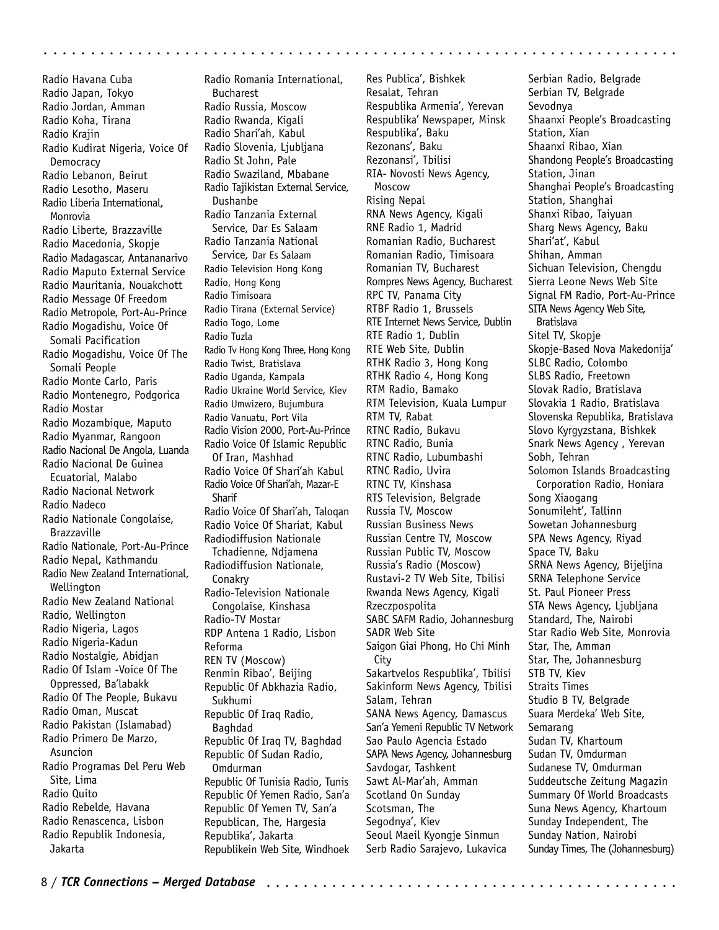Radio Havana Cuba Radio Japan, Tokyo Radio Jordan, Amman Radio Koha, Tirana Radio Krajin Radio Kudirat Nigeria, Voice Of **Democracy** Radio Lebanon, Beirut Radio Lesotho, Maseru Radio Liberia International, Monrovia Radio Liberte, Brazzaville Radio Macedonia, Skopje Radio Madagascar, Antananarivo Radio Maputo External Service Radio Mauritania, Nouakchott Radio Message Of Freedom Radio Metropole, Port-Au-Prince Radio Mogadishu, Voice Of Somali Pacification Radio Mogadishu, Voice Of The Somali People Radio Monte Carlo, Paris Radio Montenegro, Podgorica Radio Mostar Radio Mozambique, Maputo Radio Myanmar, Rangoon Radio Nacional De Angola, Luanda Radio Nacional De Guinea Ecuatorial, Malabo Radio Nacional Network Radio Nadeco Radio Nationale Congolaise, Brazzaville Radio Nationale, Port-Au-Prince Radio Nepal, Kathmandu Radio New Zealand International, Wellington Radio New Zealand National Radio, Wellington Radio Nigeria, Lagos Radio Nigeria-Kadun Radio Nostalgie, Abidjan Radio Of Islam -Voice Of The Oppressed, Ba'labakk Radio Of The People, Bukavu Radio Oman, Muscat Radio Pakistan (Islamabad) Radio Primero De Marzo, Asuncion Radio Programas Del Peru Web Site, Lima Radio Quito Radio Rebelde, Havana Radio Renascenca, Lisbon Radio Republik Indonesia,

Radio Romania International, Bucharest Radio Russia, Moscow Radio Rwanda, Kigali Radio Shari'ah, Kabul Radio Slovenia, Ljubljana Radio St John, Pale Radio Swaziland, Mbabane Radio Tajikistan External Service, Dushanbe Radio Tanzania External Service, Dar Es Salaam Radio Tanzania National Service, Dar Es Salaam Radio Television Hong Kong Radio, Hong Kong Radio Timisoara Radio Tirana (External Service) Radio Togo, Lome Radio Tuzla Radio Tv Hong Kong Three, Hong Kong Radio Twist, Bratislava Radio Uganda, Kampala Radio Ukraine World Service, Kiev Radio Umwizero, Bujumbura Radio Vanuatu, Port Vila Radio Vision 2000, Port-Au-Prince Radio Voice Of Islamic Republic Of Iran, Mashhad Radio Voice Of Shari'ah Kabul Radio Voice Of Shari'ah, Mazar-E **Sharif** Radio Voice Of Shari'ah, Taloqan Radio Voice Of Shariat, Kabul Radiodiffusion Nationale Tchadienne, Ndjamena Radiodiffusion Nationale, Conakry Radio-Television Nationale Congolaise, Kinshasa Radio-TV Mostar RDP Antena 1 Radio, Lisbon Reforma REN TV (Moscow) Renmin Ribao', Beijing Republic Of Abkhazia Radio, Sukhumi Republic Of Iraq Radio, Baghdad Republic Of Iraq TV, Baghdad Republic Of Sudan Radio, Omdurman Republic Of Tunisia Radio, Tunis Republic Of Yemen Radio, San'a Republic Of Yemen TV, San'a Republican, The, Hargesia Republika', Jakarta

Republikein Web Site, Windhoek

Res Publica', Bishkek Resalat, Tehran Respublika Armenia', Yerevan Respublika' Newspaper, Minsk Respublika', Baku Rezonans', Baku Rezonansi', Tbilisi RIA- Novosti News Agency, Moscow Rising Nepal RNA News Agency, Kigali RNE Radio 1, Madrid Romanian Radio, Bucharest Romanian Radio, Timisoara Romanian TV, Bucharest Rompres News Agency, Bucharest RPC TV, Panama City RTBF Radio 1, Brussels RTE Internet News Service, Dublin RTE Radio 1, Dublin RTE Web Site, Dublin RTHK Radio 3, Hong Kong RTHK Radio 4, Hong Kong RTM Radio, Bamako RTM Television, Kuala Lumpur RTM TV, Rabat RTNC Radio, Bukavu RTNC Radio, Bunia RTNC Radio, Lubumbashi RTNC Radio, Uvira RTNC TV, Kinshasa RTS Television, Belgrade Russia TV, Moscow Russian Business News Russian Centre TV, Moscow Russian Public TV, Moscow Russia's Radio (Moscow) Rustavi-2 TV Web Site, Tbilisi Rwanda News Agency, Kigali Rzeczpospolita SABC SAFM Radio, Johannesburg SADR Web Site Saigon Giai Phong, Ho Chi Minh City Sakartvelos Respublika', Tbilisi Sakinform News Agency, Tbilisi Salam, Tehran SANA News Agency, Damascus San'a Yemeni Republic TV Network Sao Paulo Agencia Estado SAPA News Agency, Johannesburg Savdogar, Tashkent Sawt Al-Mar'ah, Amman Scotland On Sunday Scotsman, The Segodnya', Kiev Seoul Maeil Kyongje Sinmun Serb Radio Sarajevo, Lukavica

aaaaaaaaaaaaaaaaaaaaaaaaaaaaaaaaaaaa aaaaaaaaaaaaaaaaaaaaaaaaaaaaaaaa

Serbian Radio, Belgrade Serbian TV, Belgrade Sevodnya Shaanxi People's Broadcasting Station, Xian Shaanxi Ribao, Xian Shandong People's Broadcasting Station, Jinan Shanghai People's Broadcasting Station, Shanghai Shanxi Ribao, Taiyuan Sharg News Agency, Baku Shari'at', Kabul Shihan, Amman Sichuan Television, Chengdu Sierra Leone News Web Site Signal FM Radio, Port-Au-Prince SITA News Agency Web Site, Bratislava Sitel TV, Skopje Skopje-Based Nova Makedonija' SLBC Radio, Colombo SLBS Radio, Freetown Slovak Radio, Bratislava Slovakia 1 Radio, Bratislava Slovenska Republika, Bratislava Slovo Kyrgyzstana, Bishkek Snark News Agency , Yerevan Sobh, Tehran Solomon Islands Broadcasting Corporation Radio, Honiara Song Xiaogang Sonumileht', Tallinn Sowetan Johannesburg SPA News Agency, Riyad Space TV, Baku SRNA News Agency, Bijeljina SRNA Telephone Service St. Paul Pioneer Press STA News Agency, Ljubljana Standard, The, Nairobi Star Radio Web Site, Monrovia Star, The, Amman Star, The, Johannesburg STB TV, Kiev Straits Times Studio B TV, Belgrade Suara Merdeka' Web Site, Semarang Sudan TV, Khartoum Sudan TV, Omdurman Sudanese TV, Omdurman Suddeutsche Zeitung Magazin Summary Of World Broadcasts Suna News Agency, Khartoum Sunday Independent, The Sunday Nation, Nairobi Sunday Times, The (Johannesburg)

Jakarta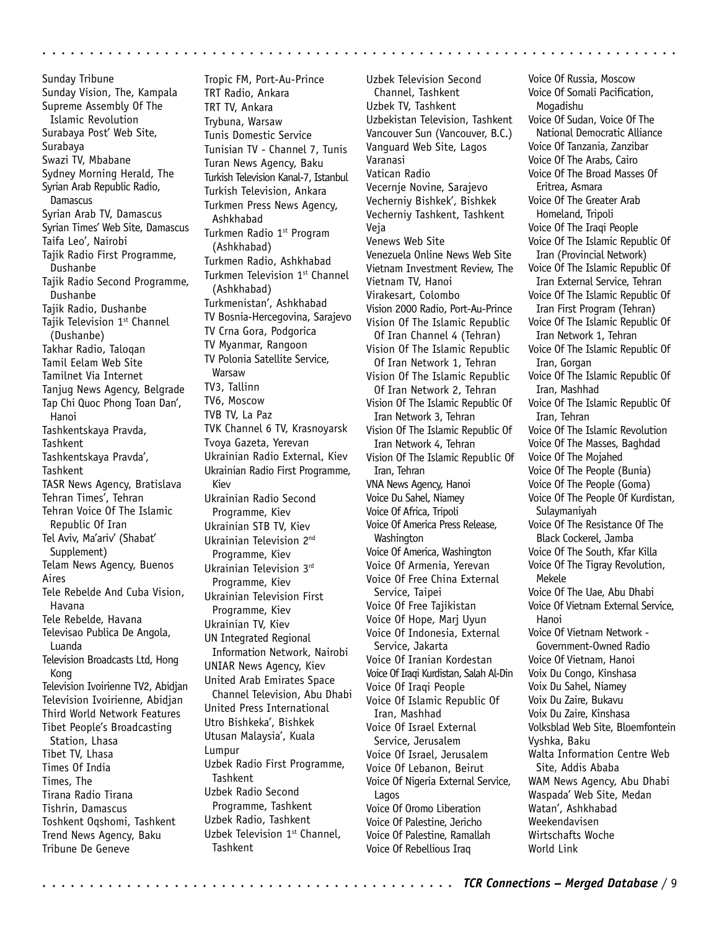Sunday Tribune Sunday Vision, The, Kampala Supreme Assembly Of The Islamic Revolution Surabaya Post' Web Site, Surabaya Swazi TV, Mbabane Sydney Morning Herald, The Syrian Arab Republic Radio, Damascus Syrian Arab TV, Damascus Syrian Times' Web Site, Damascus Taifa Leo', Nairobi Tajik Radio First Programme, Dushanbe Tajik Radio Second Programme, Dushanbe Tajik Radio, Dushanbe Tajik Television 1st Channel (Dushanbe) Takhar Radio, Taloqan Tamil Eelam Web Site Tamilnet Via Internet Tanjug News Agency, Belgrade Tap Chi Quoc Phong Toan Dan', Hanoi Tashkentskaya Pravda, **Tashkent** Tashkentskaya Pravda', **Tashkent** TASR News Agency, Bratislava Tehran Times', Tehran Tehran Voice Of The Islamic Republic Of Iran Tel Aviv, Ma'ariv' (Shabat' Supplement) Telam News Agency, Buenos Aires Tele Rebelde And Cuba Vision, Havana Tele Rebelde, Havana Televisao Publica De Angola, Luanda Television Broadcasts Ltd, Hong Kong Television Ivoirienne TV2, Abidjan Television Ivoirienne, Abidjan Third World Network Features Tibet People's Broadcasting Station, Lhasa Tibet TV, Lhasa Times Of India Times, The Tirana Radio Tirana Tishrin, Damascus Toshkent Oqshomi, Tashkent Trend News Agency, Baku Tribune De Geneve

Tropic FM, Port-Au-Prince TRT Radio, Ankara TRT TV, Ankara Trybuna, Warsaw Tunis Domestic Service Tunisian TV - Channel 7, Tunis Turan News Agency, Baku Turkish Television Kanal-7, Istanbul Turkish Television, Ankara Turkmen Press News Agency, Ashkhabad Turkmen Radio 1<sup>st</sup> Program (Ashkhabad) Turkmen Radio, Ashkhabad Turkmen Television 1<sup>st</sup> Channel (Ashkhabad) Turkmenistan', Ashkhabad TV Bosnia-Hercegovina, Sarajevo TV Crna Gora, Podgorica TV Myanmar, Rangoon TV Polonia Satellite Service, Warsaw TV3, Tallinn TV6, Moscow TVB TV, La Paz TVK Channel 6 TV, Krasnoyarsk Tvoya Gazeta, Yerevan Ukrainian Radio External, Kiev Ukrainian Radio First Programme, Kiev Ukrainian Radio Second Programme, Kiev Ukrainian STB TV, Kiev Ukrainian Television 2nd Programme, Kiev Ukrainian Television 3rd Programme, Kiev Ukrainian Television First Programme, Kiev Ukrainian TV, Kiev UN Integrated Regional Information Network, Nairobi UNIAR News Agency, Kiev United Arab Emirates Space Channel Television, Abu Dhabi United Press International Utro Bishkeka', Bishkek Utusan Malaysia', Kuala Lumpur Uzbek Radio First Programme, **Tashkent** Uzbek Radio Second Programme, Tashkent Uzbek Radio, Tashkent Uzbek Television 1st Channel, Tashkent

aaaaaaaaaaaaaaaaaaaaaaaaaaaaaaaaaaaaaaaaaaaaa aaaaaaaaaaaaaaaaaaaaaaa

Uzbek Television Second Channel, Tashkent Uzbek TV, Tashkent Uzbekistan Television, Tashkent Vancouver Sun (Vancouver, B.C.) Vanguard Web Site, Lagos Varanasi Vatican Radio Vecernje Novine, Sarajevo Vecherniy Bishkek', Bishkek Vecherniy Tashkent, Tashkent Veja Venews Web Site Venezuela Online News Web Site Vietnam Investment Review, The Vietnam TV, Hanoi Virakesart, Colombo Vision 2000 Radio, Port-Au-Prince Vision Of The Islamic Republic Of Iran Channel 4 (Tehran) Vision Of The Islamic Republic Of Iran Network 1, Tehran Vision Of The Islamic Republic Of Iran Network 2, Tehran Vision Of The Islamic Republic Of Iran Network 3, Tehran Vision Of The Islamic Republic Of Iran Network 4, Tehran Vision Of The Islamic Republic Of Iran, Tehran VNA News Agency, Hanoi Voice Du Sahel, Niamey Voice Of Africa, Tripoli Voice Of America Press Release, Washington Voice Of America, Washington Voice Of Armenia, Yerevan Voice Of Free China External Service, Taipei Voice Of Free Tajikistan Voice Of Hope, Marj Uyun Voice Of Indonesia, External Service, Jakarta Voice Of Iranian Kordestan Voice Of Iraqi Kurdistan, Salah Al-Din Voice Of Iraqi People Voice Of Islamic Republic Of Iran, Mashhad Voice Of Israel External Service, Jerusalem Voice Of Israel, Jerusalem Voice Of Lebanon, Beirut Voice Of Nigeria External Service, Lagos Voice Of Oromo Liberation Voice Of Palestine, Jericho Voice Of Palestine, Ramallah Voice Of Rebellious Iraq

Voice Of Russia, Moscow Voice Of Somali Pacification, Mogadishu Voice Of Sudan, Voice Of The National Democratic Alliance Voice Of Tanzania, Zanzibar Voice Of The Arabs, Cairo Voice Of The Broad Masses Of Eritrea, Asmara Voice Of The Greater Arab Homeland, Tripoli Voice Of The Iraqi People Voice Of The Islamic Republic Of Iran (Provincial Network) Voice Of The Islamic Republic Of Iran External Service, Tehran Voice Of The Islamic Republic Of Iran First Program (Tehran) Voice Of The Islamic Republic Of Iran Network 1, Tehran Voice Of The Islamic Republic Of Iran, Gorgan Voice Of The Islamic Republic Of Iran, Mashhad Voice Of The Islamic Republic Of Iran, Tehran Voice Of The Islamic Revolution Voice Of The Masses, Baghdad Voice Of The Mojahed Voice Of The People (Bunia) Voice Of The People (Goma) Voice Of The People Of Kurdistan, Sulaymaniyah Voice Of The Resistance Of The Black Cockerel, Jamba Voice Of The South, Kfar Killa Voice Of The Tigray Revolution, Mekele Voice Of The Uae, Abu Dhabi Voice Of Vietnam External Service, Hanoi Voice Of Vietnam Network - Government-Owned Radio Voice Of Vietnam, Hanoi Voix Du Congo, Kinshasa Voix Du Sahel, Niamey Voix Du Zaire, Bukavu Voix Du Zaire, Kinshasa Volksblad Web Site, Bloemfontein Vyshka, Baku Walta Information Centre Web Site, Addis Ababa WAM News Agency, Abu Dhabi Waspada' Web Site, Medan Watan', Ashkhabad Weekendavisen Wirtschafts Woche World Link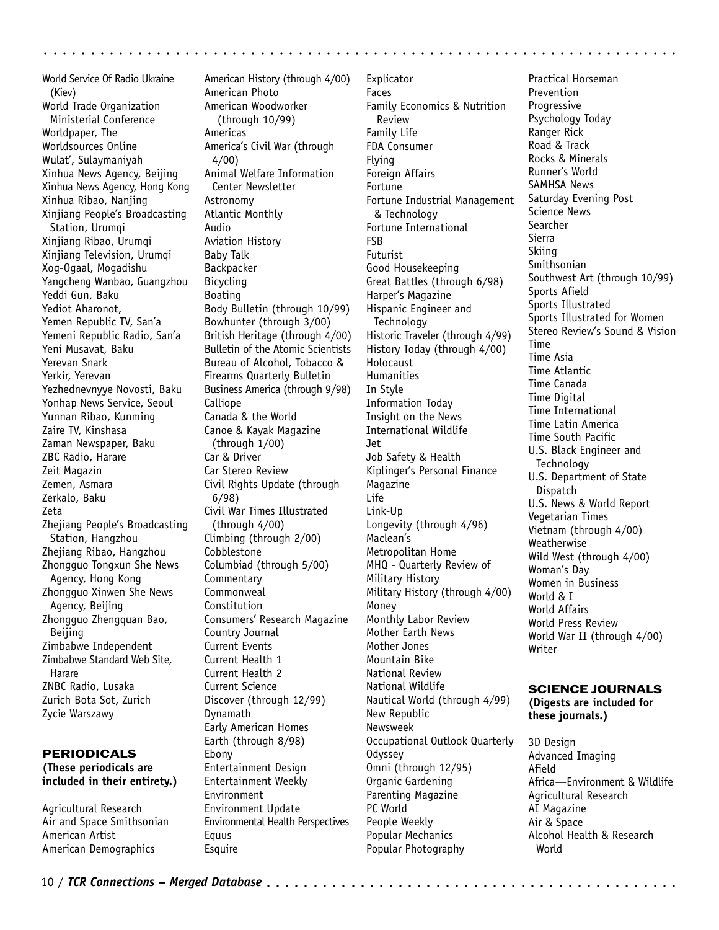World Service Of Radio Ukraine (Kiev) World Trade Organization Ministerial Conference Worldpaper, The Worldsources Online Wulat', Sulaymaniyah Xinhua News Agency, Beijing Xinhua News Agency, Hong Kong Xinhua Ribao, Nanjing Xinjiang People's Broadcasting Station, Urumqi Xinjiang Ribao, Urumqi Xinjiang Television, Urumqi Xog-Ogaal, Mogadishu Yangcheng Wanbao, Guangzhou Yeddi Gun, Baku Yediot Aharonot, Yemen Republic TV, San'a Yemeni Republic Radio, San'a Yeni Musavat, Baku Yerevan Snark Yerkir, Yerevan Yezhednevnyye Novosti, Baku Yonhap News Service, Seoul Yunnan Ribao, Kunming Zaire TV, Kinshasa Zaman Newspaper, Baku ZBC Radio, Harare Zeit Magazin Zemen, Asmara Zerkalo, Baku Zeta Zhejiang People's Broadcasting Station, Hangzhou Zheijang Ribao, Hangzhou Zhongguo Tongxun She News Agency, Hong Kong Zhongguo Xinwen She News Agency, Beijing Zhongguo Zhengquan Bao, Beijing Zimbabwe Independent Zimbabwe Standard Web Site, Harare ZNBC Radio, Lusaka Zurich Bota Sot, Zurich Zycie Warszawy

# PERIODICALS **(These periodicals are included in their entirety.)**

Agricultural Research Air and Space Smithsonian American Artist American Demographics

American History (through 4/00) American Photo American Woodworker (through 10/99) Americas America's Civil War (through 4/00) Animal Welfare Information Center Newsletter Astronomy Atlantic Monthly Audio Aviation History Baby Talk Backpacker Bicycling Boating Body Bulletin (through 10/99) Bowhunter (through 3/00) British Heritage (through 4/00) Bulletin of the Atomic Scientists Bureau of Alcohol, Tobacco & Firearms Quarterly Bulletin Business America (through 9/98) Calliope Canada & the World Canoe & Kayak Magazine (through 1/00) Car & Driver Car Stereo Review Civil Rights Update (through 6/98) Civil War Times Illustrated (through 4/00) Climbing (through 2/00) Cobblestone Columbiad (through 5/00) Commentary Commonweal Constitution Consumers' Research Magazine Country Journal Current Events Current Health 1 Current Health 2 Current Science Discover (through 12/99) Dynamath Early American Homes Earth (through 8/98) Ebony Entertainment Design Entertainment Weekly Environment Environment Update Environmental Health Perspectives

Explicator Faces Family Economics & Nutrition Review Family Life FDA Consumer Flying Foreign Affairs Fortune Fortune Industrial Management & Technology Fortune International FSB Futurist Good Housekeeping Great Battles (through 6/98) Harper's Magazine Hispanic Engineer and **Technology** Historic Traveler (through 4/99) History Today (through 4/00) Holocaust **Humanities** In Style Information Today Insight on the News International Wildlife Jet Job Safety & Health Kiplinger's Personal Finance Magazine Life Link-Up Longevity (through 4/96) Maclean's Metropolitan Home MHQ - Quarterly Review of Military History Military History (through 4/00) Money Monthly Labor Review Mother Earth News Mother Jones Mountain Bike National Review National Wildlife Nautical World (through 4/99) New Republic Newsweek Occupational Outlook Quarterly Odyssey Omni (through 12/95) Organic Gardening Parenting Magazine PC World People Weekly Popular Mechanics Popular Photography

aaaaaaaaaaaaaaaaaaaaaaaaaaaaaaaaaaaa aaaaaaaaaaaaaaaaaaaaaaaaaaaaaaaa

Practical Horseman Prevention **Progressive** Psychology Today Ranger Rick Road & Track Rocks & Minerals Runner's World SAMHSA News Saturday Evening Post Science News **Searcher** Sierra Skiing Smithsonian Southwest Art (through 10/99) Sports Afield Sports Illustrated Sports Illustrated for Women Stereo Review's Sound & Vision Time Time Asia Time Atlantic Time Canada Time Digital Time International Time Latin America Time South Pacific U.S. Black Engineer and **Technology** U.S. Department of State **Dispatch** U.S. News & World Report Vegetarian Times Vietnam (through 4/00) **Weatherwise** Wild West (through 4/00) Woman's Day Women in Business World & I World Affairs World Press Review World War II (through 4/00) Writer

# SCIENCE JOURNALS

**(Digests are included for these journals.)**

3D Design Advanced Imaging Afield Africa—Environment & Wildlife Agricultural Research AI Magazine Air & Space Alcohol Health & Research World

Equus Esquire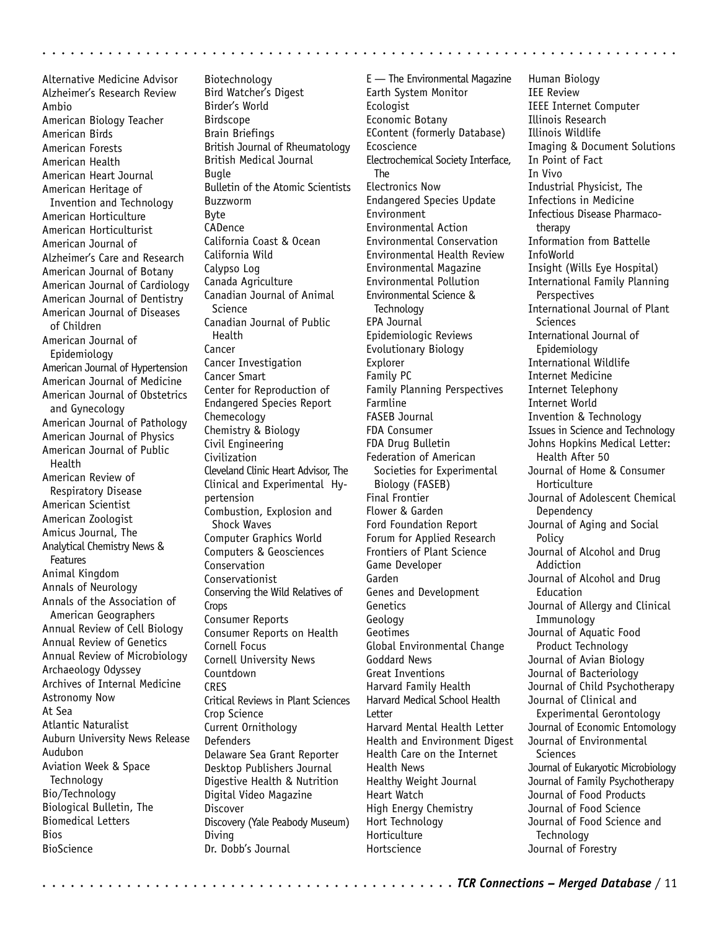Alternative Medicine Advisor Alzheimer's Research Review Ambio American Biology Teacher American Birds American Forests American Health American Heart Journal American Heritage of Invention and Technology American Horticulture American Horticulturist American Journal of Alzheimer's Care and Research American Journal of Botany American Journal of Cardiology American Journal of Dentistry American Journal of Diseases of Children American Journal of Epidemiology American Journal of Hypertension American Journal of Medicine American Journal of Obstetrics and Gynecology American Journal of Pathology American Journal of Physics American Journal of Public Health American Review of Respiratory Disease American Scientist American Zoologist Amicus Journal, The Analytical Chemistry News & Features Animal Kingdom Annals of Neurology Annals of the Association of American Geographers Annual Review of Cell Biology Annual Review of Genetics Annual Review of Microbiology Archaeology Odyssey Archives of Internal Medicine Astronomy Now At Sea Atlantic Naturalist Auburn University News Release Audubon Aviation Week & Space **Technology** Bio/Technology Biological Bulletin, The Biomedical Letters **Bios** BioScience

Biotechnology Bird Watcher's Digest Birder's World Birdscope Brain Briefings British Journal of Rheumatology British Medical Journal Bugle Bulletin of the Atomic Scientists Buzzworm Byte CADence California Coast & Ocean California Wild Calypso Log Canada Agriculture Canadian Journal of Animal **Science** Canadian Journal of Public Health Cancer Cancer Investigation Cancer Smart Center for Reproduction of Endangered Species Report Chemecology Chemistry & Biology Civil Engineering Civilization Cleveland Clinic Heart Advisor, The Clinical and Experimental Hypertension Combustion, Explosion and Shock Waves Computer Graphics World Computers & Geosciences Conservation Conservationist Conserving the Wild Relatives of Crops Consumer Reports Consumer Reports on Health Cornell Focus Cornell University News Countdown **CRES** Critical Reviews in Plant Sciences Crop Science Current Ornithology **Defenders** Delaware Sea Grant Reporter Desktop Publishers Journal Digestive Health & Nutrition Digital Video Magazine Discover Discovery (Yale Peabody Museum) Diving Dr. Dobb's Journal

aaaaaaaaaaaaaaaaaaaaaaaaaaaaaaaaaaaaaaaaaaaaa aaaaaaaaaaaaaaaaaaaaaaa

E — The Environmental Magazine Earth System Monitor **Ecologist** Economic Botany EContent (formerly Database) Ecoscience Electrochemical Society Interface, The Electronics Now Endangered Species Update Environment Environmental Action Environmental Conservation Environmental Health Review Environmental Magazine Environmental Pollution Environmental Science & **Technology** EPA Journal Epidemiologic Reviews Evolutionary Biology Explorer Family PC Family Planning Perspectives Farmline FASEB Journal FDA Consumer FDA Drug Bulletin Federation of American Societies for Experimental Biology (FASEB) Final Frontier Flower & Garden Ford Foundation Report Forum for Applied Research Frontiers of Plant Science Game Developer Garden Genes and Development Genetics Geology Geotimes Global Environmental Change Goddard News Great Inventions Harvard Family Health Harvard Medical School Health Letter Harvard Mental Health Letter Health and Environment Digest Health Care on the Internet Health News Healthy Weight Journal Heart Watch High Energy Chemistry Hort Technology Horticulture Hortscience

Human Biology IEE Review IEEE Internet Computer Illinois Research Illinois Wildlife Imaging & Document Solutions In Point of Fact In Vivo Industrial Physicist, The Infections in Medicine Infectious Disease Pharmacotherapy Information from Battelle InfoWorld Insight (Wills Eye Hospital) International Family Planning **Perspectives** International Journal of Plant **Sciences** International Journal of Epidemiology International Wildlife Internet Medicine Internet Telephony Internet World Invention & Technology Issues in Science and Technology Johns Hopkins Medical Letter: Health After 50 Journal of Home & Consumer Horticulture Journal of Adolescent Chemical Dependency Journal of Aging and Social **Policy** Journal of Alcohol and Drug Addiction Journal of Alcohol and Drug Education Journal of Allergy and Clinical Immunology Journal of Aquatic Food Product Technology Journal of Avian Biology Journal of Bacteriology Journal of Child Psychotherapy Journal of Clinical and Experimental Gerontology Journal of Economic Entomology Journal of Environmental **Sciences** Journal of Eukaryotic Microbiology Journal of Family Psychotherapy Journal of Food Products Journal of Food Science Journal of Food Science and **Technology** Journal of Forestry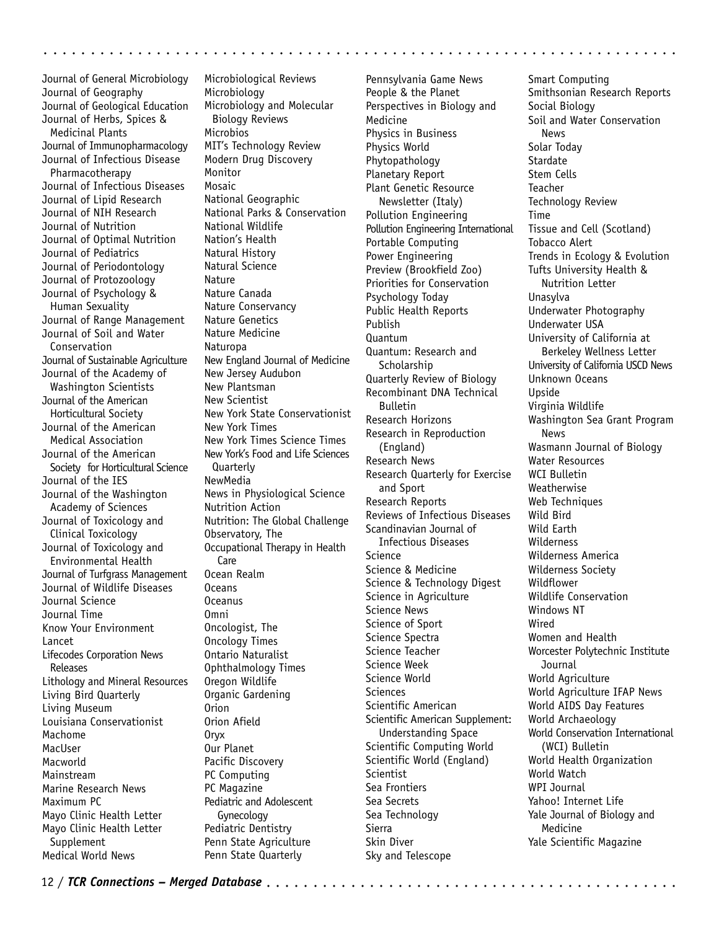Journal of General Microbiology Journal of Geography Journal of Geological Education Journal of Herbs, Spices & Medicinal Plants Journal of Immunopharmacology Journal of Infectious Disease Pharmacotherapy Journal of Infectious Diseases Journal of Lipid Research Journal of NIH Research Journal of Nutrition Journal of Optimal Nutrition Journal of Pediatrics Journal of Periodontology Journal of Protozoology Journal of Psychology & Human Sexuality Journal of Range Management Journal of Soil and Water Conservation Journal of Sustainable Agriculture Journal of the Academy of Washington Scientists Journal of the American Horticultural Society Journal of the American Medical Association Journal of the American Society for Horticultural Science Journal of the IES Journal of the Washington Academy of Sciences Journal of Toxicology and Clinical Toxicology Journal of Toxicology and Environmental Health Journal of Turfgrass Management Journal of Wildlife Diseases Journal Science Journal Time Know Your Environment Lancet Lifecodes Corporation News Releases Lithology and Mineral Resources Living Bird Quarterly Living Museum Louisiana Conservationist Machome MacUser Macworld Mainstream Marine Research News Maximum PC Mayo Clinic Health Letter Mayo Clinic Health Letter Supplement Medical World News

Microbiological Reviews Microbiology Microbiology and Molecular Biology Reviews Microbios MIT's Technology Review Modern Drug Discovery Monitor Mosaic National Geographic National Parks & Conservation National Wildlife Nation's Health Natural History Natural Science Nature Nature Canada Nature Conservancy Nature Genetics Nature Medicine Naturopa New England Journal of Medicine New Jersey Audubon New Plantsman New Scientist New York State Conservationist New York Times New York Times Science Times New York's Food and Life Sciences Quarterly NewMedia News in Physiological Science Nutrition Action Nutrition: The Global Challenge Observatory, The Occupational Therapy in Health **Care** Ocean Realm Oceans Oceanus Omni Oncologist, The Oncology Times Ontario Naturalist Ophthalmology Times Oregon Wildlife Organic Gardening Orion Orion Afield Oryx Our Planet Pacific Discovery PC Computing PC Magazine Pediatric and Adolescent Gynecology Pediatric Dentistry Penn State Agriculture Penn State Quarterly

Pennsylvania Game News People & the Planet Perspectives in Biology and Medicine Physics in Business Physics World Phytopathology Planetary Report Plant Genetic Resource Newsletter (Italy) Pollution Engineering Pollution Engineering International Portable Computing Power Engineering Preview (Brookfield Zoo) Priorities for Conservation Psychology Today Public Health Reports Publish Quantum Quantum: Research and **Scholarship** Quarterly Review of Biology Recombinant DNA Technical Bulletin Research Horizons Research in Reproduction (England) Research News Research Quarterly for Exercise and Sport Research Reports Reviews of Infectious Diseases Scandinavian Journal of Infectious Diseases Science Science & Medicine Science & Technology Digest Science in Agriculture Science News Science of Sport Science Spectra Science Teacher Science Week Science World **Sciences** Scientific American Scientific American Supplement: Understanding Space Scientific Computing World Scientific World (England) Scientist Sea Frontiers Sea Secrets Sea Technology Sierra Skin Diver Sky and Telescope

aaaaaaaaaaaaaaaaaaaaaaaaaaaaaaaaaaaa aaaaaaaaaaaaaaaaaaaaaaaaaaaaaaaa

Smart Computing Smithsonian Research Reports Social Biology Soil and Water Conservation News Solar Today **Stardate** Stem Cells Teacher Technology Review Time Tissue and Cell (Scotland) Tobacco Alert Trends in Ecology & Evolution Tufts University Health & Nutrition Letter Unasylva Underwater Photography Underwater USA University of California at Berkeley Wellness Letter University of California USCD News Unknown Oceans Upside Virginia Wildlife Washington Sea Grant Program News Wasmann Journal of Biology Water Resources WCI Bulletin Weatherwise Web Techniques Wild Bird Wild Earth Wilderness Wilderness America Wilderness Society Wildflower Wildlife Conservation Windows NT Wired Women and Health Worcester Polytechnic Institute **Journal** World Agriculture World Agriculture IFAP News World AIDS Day Features World Archaeology World Conservation International (WCI) Bulletin World Health Organization World Watch WPI Journal Yahoo! Internet Life Yale Journal of Biology and Medicine Yale Scientific Magazine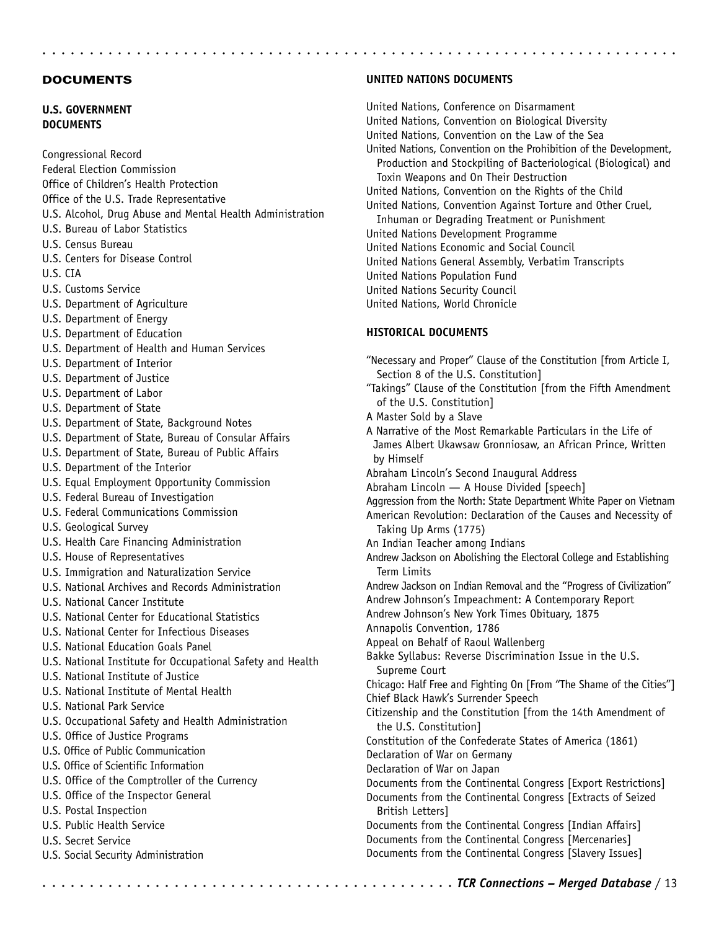## **DOCUMENTS**

# **U.S. GOVERNMENT DOCUMENTS**

Congressional Record Federal Election Commission Office of Children's Health Protection Office of the U.S. Trade Representative U.S. Alcohol, Drug Abuse and Mental Health Administration U.S. Bureau of Labor Statistics U.S. Census Bureau U.S. Centers for Disease Control U.S. CIA U.S. Customs Service U.S. Department of Agriculture U.S. Department of Energy U.S. Department of Education U.S. Department of Health and Human Services U.S. Department of Interior U.S. Department of Justice U.S. Department of Labor U.S. Department of State U.S. Department of State, Background Notes U.S. Department of State, Bureau of Consular Affairs U.S. Department of State, Bureau of Public Affairs U.S. Department of the Interior U.S. Equal Employment Opportunity Commission U.S. Federal Bureau of Investigation U.S. Federal Communications Commission U.S. Geological Survey U.S. Health Care Financing Administration U.S. House of Representatives U.S. Immigration and Naturalization Service U.S. National Archives and Records Administration U.S. National Cancer Institute U.S. National Center for Educational Statistics U.S. National Center for Infectious Diseases U.S. National Education Goals Panel U.S. National Institute for Occupational Safety and Health U.S. National Institute of Justice U.S. National Institute of Mental Health U.S. National Park Service U.S. Occupational Safety and Health Administration U.S. Office of Justice Programs U.S. Office of Public Communication U.S. Office of Scientific Information U.S. Office of the Comptroller of the Currency U.S. Office of the Inspector General U.S. Postal Inspection U.S. Public Health Service U.S. Secret Service U.S. Social Security Administration

# **UNITED NATIONS DOCUMENTS**

United Nations, Conference on Disarmament United Nations, Convention on Biological Diversity United Nations, Convention on the Law of the Sea United Nations, Convention on the Prohibition of the Development, Production and Stockpiling of Bacteriological (Biological) and Toxin Weapons and On Their Destruction United Nations, Convention on the Rights of the Child United Nations, Convention Against Torture and Other Cruel, Inhuman or Degrading Treatment or Punishment United Nations Development Programme United Nations Economic and Social Council United Nations General Assembly, Verbatim Transcripts United Nations Population Fund United Nations Security Council United Nations, World Chronicle

aaaaaaaaaaaaaaaaaaaaaaaaaaaaaaaaaaaaaaaaaaaaa aaaaaaaaaaaaaaaaaaaaaaa

# **HISTORICAL DOCUMENTS**

"Necessary and Proper" Clause of the Constitution [from Article I, Section 8 of the U.S. Constitution] "Takings" Clause of the Constitution [from the Fifth Amendment of the U.S. Constitution] A Master Sold by a Slave A Narrative of the Most Remarkable Particulars in the Life of James Albert Ukawsaw Gronniosaw, an African Prince, Written by Himself Abraham Lincoln's Second Inaugural Address Abraham Lincoln — A House Divided [speech] Aggression from the North: State Department White Paper on Vietnam American Revolution: Declaration of the Causes and Necessity of Taking Up Arms (1775) An Indian Teacher among Indians Andrew Jackson on Abolishing the Electoral College and Establishing Term Limits Andrew Jackson on Indian Removal and the "Progress of Civilization" Andrew Johnson's Impeachment: A Contemporary Report Andrew Johnson's New York Times Obituary, 1875 Annapolis Convention, 1786 Appeal on Behalf of Raoul Wallenberg Bakke Syllabus: Reverse Discrimination Issue in the U.S. Supreme Court Chicago: Half Free and Fighting On [From "The Shame of the Cities"] Chief Black Hawk's Surrender Speech Citizenship and the Constitution [from the 14th Amendment of the U.S. Constitution] Constitution of the Confederate States of America (1861) Declaration of War on Germany Declaration of War on Japan Documents from the Continental Congress [Export Restrictions] Documents from the Continental Congress [Extracts of Seized British Letters] Documents from the Continental Congress [Indian Affairs] Documents from the Continental Congress [Mercenaries] Documents from the Continental Congress [Slavery Issues]

aaaaaaaaaaaaaaaaaaaaaaaaaaaaaaaaaaaaaaaa aaaa *TCR Connections – Merged Database* / 13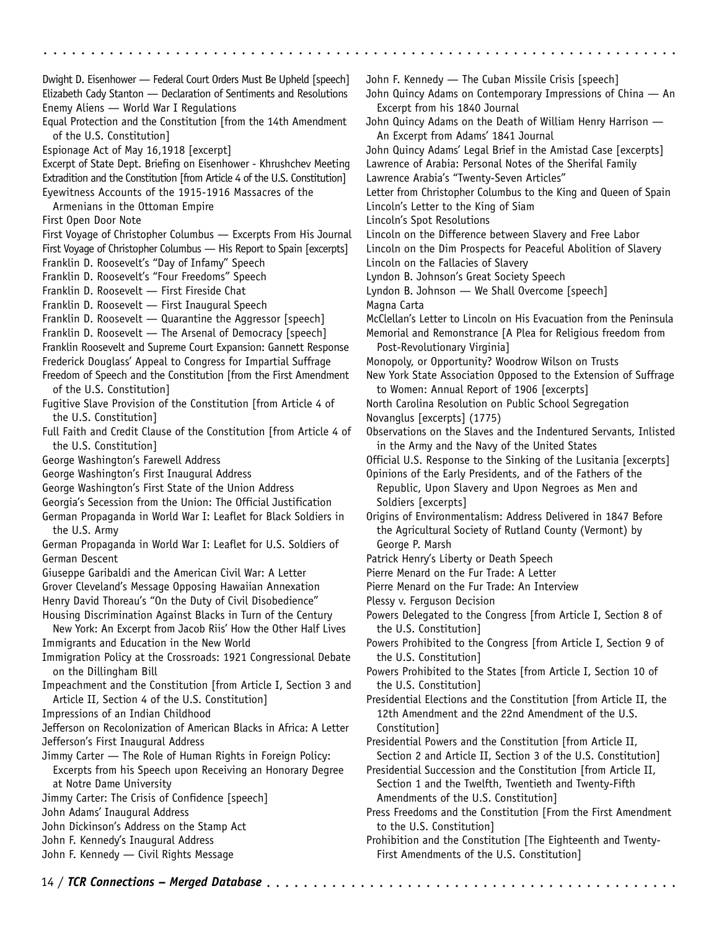aaaaaaaaaaaaaaaaaaaaaaaaaaaaaaaaaaaa aaaaaaaaaaaaaaaaaaaaaaaaaaaaaaaa Dwight D. Eisenhower — Federal Court Orders Must Be Upheld [speech] Elizabeth Cady Stanton — Declaration of Sentiments and Resolutions Enemy Aliens — World War I Regulations Equal Protection and the Constitution [from the 14th Amendment of the U.S. Constitution] Espionage Act of May 16,1918 [excerpt] Excerpt of State Dept. Briefing on Eisenhower - Khrushchev Meeting Extradition and the Constitution [from Article 4 of the U.S. Constitution] Eyewitness Accounts of the 1915-1916 Massacres of the Armenians in the Ottoman Empire First Open Door Note First Voyage of Christopher Columbus — Excerpts From His Journal First Voyage of Christopher Columbus — His Report to Spain [excerpts] Franklin D. Roosevelt's "Day of Infamy" Speech Franklin D. Roosevelt's "Four Freedoms" Speech Franklin D. Roosevelt — First Fireside Chat Franklin D. Roosevelt — First Inaugural Speech Franklin D. Roosevelt — Quarantine the Aggressor [speech] Franklin D. Roosevelt — The Arsenal of Democracy [speech] Franklin Roosevelt and Supreme Court Expansion: Gannett Response Frederick Douglass' Appeal to Congress for Impartial Suffrage Freedom of Speech and the Constitution [from the First Amendment of the U.S. Constitution] Fugitive Slave Provision of the Constitution [from Article 4 of the U.S. Constitution] Full Faith and Credit Clause of the Constitution [from Article 4 of the U.S. Constitution] George Washington's Farewell Address George Washington's First Inaugural Address George Washington's First State of the Union Address Georgia's Secession from the Union: The Official Justification German Propaganda in World War I: Leaflet for Black Soldiers in the U.S. Army German Propaganda in World War I: Leaflet for U.S. Soldiers of German Descent Giuseppe Garibaldi and the American Civil War: A Letter Grover Cleveland's Message Opposing Hawaiian Annexation Henry David Thoreau's "On the Duty of Civil Disobedience" Housing Discrimination Against Blacks in Turn of the Century New York: An Excerpt from Jacob Riis' How the Other Half Lives Immigrants and Education in the New World Immigration Policy at the Crossroads: 1921 Congressional Debate on the Dillingham Bill Impeachment and the Constitution [from Article I, Section 3 and Article II, Section 4 of the U.S. Constitution] Impressions of an Indian Childhood Jefferson on Recolonization of American Blacks in Africa: A Letter Jefferson's First Inaugural Address Jimmy Carter — The Role of Human Rights in Foreign Policy: Excerpts from his Speech upon Receiving an Honorary Degree at Notre Dame University Jimmy Carter: The Crisis of Confidence [speech] John Adams' Inaugural Address John Dickinson's Address on the Stamp Act John F. Kennedy's Inaugural Address John F. Kennedy — Civil Rights Message John F. Kennedy — The Cuban Missile Crisis [speech] John Quincy Adams on Contemporary Impressions of China — An Excerpt from his 1840 Journal John Quincy Adams on the Death of William Henry Harrison — An Excerpt from Adams' 1841 Journal John Quincy Adams' Legal Brief in the Amistad Case [excerpts] Lawrence of Arabia: Personal Notes of the Sherifal Family Lawrence Arabia's "Twenty-Seven Articles" Letter from Christopher Columbus to the King and Queen of Spain Lincoln's Letter to the King of Siam Magna Carta

Lincoln's Spot Resolutions Lincoln on the Difference between Slavery and Free Labor Lincoln on the Dim Prospects for Peaceful Abolition of Slavery Lincoln on the Fallacies of Slavery Lyndon B. Johnson's Great Society Speech Lyndon B. Johnson — We Shall Overcome [speech] McClellan's Letter to Lincoln on His Evacuation from the Peninsula Memorial and Remonstrance [A Plea for Religious freedom from Post-Revolutionary Virginia] Monopoly, or Opportunity? Woodrow Wilson on Trusts New York State Association Opposed to the Extension of Suffrage to Women: Annual Report of 1906 [excerpts] North Carolina Resolution on Public School Segregation Novanglus [excerpts] (1775) Observations on the Slaves and the Indentured Servants, Inlisted in the Army and the Navy of the United States Official U.S. Response to the Sinking of the Lusitania [excerpts] Opinions of the Early Presidents, and of the Fathers of the Republic, Upon Slavery and Upon Negroes as Men and Soldiers [excerpts] Origins of Environmentalism: Address Delivered in 1847 Before the Agricultural Society of Rutland County (Vermont) by George P. Marsh Patrick Henry's Liberty or Death Speech Pierre Menard on the Fur Trade: A Letter Pierre Menard on the Fur Trade: An Interview Plessy v. Ferguson Decision Powers Delegated to the Congress [from Article I, Section 8 of the U.S. Constitution] Powers Prohibited to the Congress [from Article I, Section 9 of the U.S. Constitution] Powers Prohibited to the States [from Article I, Section 10 of the U.S. Constitution] Presidential Elections and the Constitution [from Article II, the 12th Amendment and the 22nd Amendment of the U.S.

Constitution] Presidential Powers and the Constitution [from Article II,

Section 2 and Article II, Section 3 of the U.S. Constitution] Presidential Succession and the Constitution [from Article II,

Section 1 and the Twelfth, Twentieth and Twenty-Fifth Amendments of the U.S. Constitution]

Press Freedoms and the Constitution [From the First Amendment to the U.S. Constitution]

Prohibition and the Constitution [The Eighteenth and Twenty-First Amendments of the U.S. Constitution]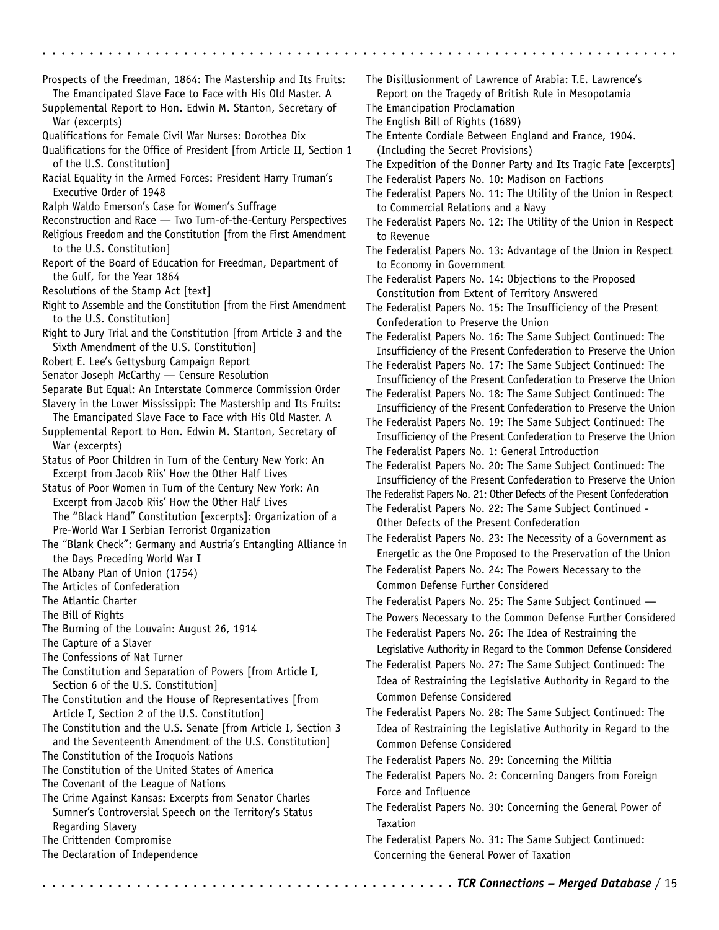Prospects of the Freedman, 1864: The Mastership and Its Fruits: The Emancipated Slave Face to Face with His Old Master. A Supplemental Report to Hon. Edwin M. Stanton, Secretary of War (excerpts) Qualifications for Female Civil War Nurses: Dorothea Dix Qualifications for the Office of President [from Article II, Section 1 of the U.S. Constitution] Racial Equality in the Armed Forces: President Harry Truman's Executive Order of 1948 Ralph Waldo Emerson's Case for Women's Suffrage Reconstruction and Race — Two Turn-of-the-Century Perspectives Religious Freedom and the Constitution [from the First Amendment to the U.S. Constitution] Report of the Board of Education for Freedman, Department of the Gulf, for the Year 1864 Resolutions of the Stamp Act [text] Right to Assemble and the Constitution [from the First Amendment to the U.S. Constitution] Right to Jury Trial and the Constitution [from Article 3 and the Sixth Amendment of the U.S. Constitution] Robert E. Lee's Gettysburg Campaign Report Senator Joseph McCarthy — Censure Resolution Separate But Equal: An Interstate Commerce Commission Order Slavery in the Lower Mississippi: The Mastership and Its Fruits: The Emancipated Slave Face to Face with His Old Master. A Supplemental Report to Hon. Edwin M. Stanton, Secretary of War (excerpts) Status of Poor Children in Turn of the Century New York: An Excerpt from Jacob Riis' How the Other Half Lives Status of Poor Women in Turn of the Century New York: An Excerpt from Jacob Riis' How the Other Half Lives The "Black Hand" Constitution [excerpts]: Organization of a Pre-World War I Serbian Terrorist Organization The "Blank Check": Germany and Austria's Entangling Alliance in the Days Preceding World War I The Albany Plan of Union (1754) The Articles of Confederation The Atlantic Charter The Bill of Rights The Burning of the Louvain: August 26, 1914 The Capture of a Slaver The Confessions of Nat Turner The Constitution and Separation of Powers [from Article I, Section 6 of the U.S. Constitution] The Constitution and the House of Representatives [from Article I, Section 2 of the U.S. Constitution] The Constitution and the U.S. Senate [from Article I, Section 3 and the Seventeenth Amendment of the U.S. Constitution] The Constitution of the Iroquois Nations The Constitution of the United States of America The Covenant of the League of Nations The Crime Against Kansas: Excerpts from Senator Charles Sumner's Controversial Speech on the Territory's Status Regarding Slavery The Crittenden Compromise The Declaration of Independence

- The Disillusionment of Lawrence of Arabia: T.E. Lawrence's Report on the Tragedy of British Rule in Mesopotamia
- The Emancipation Proclamation

aaaaaaaaaaaaaaaaaaaaaaaaaaaaaaaaaaaaaaaaaaaaa aaaaaaaaaaaaaaaaaaaaaaa

- The English Bill of Rights (1689)
- The Entente Cordiale Between England and France, 1904. (Including the Secret Provisions)
- The Expedition of the Donner Party and Its Tragic Fate [excerpts]
- The Federalist Papers No. 10: Madison on Factions
- The Federalist Papers No. 11: The Utility of the Union in Respect to Commercial Relations and a Navy
- The Federalist Papers No. 12: The Utility of the Union in Respect to Revenue
- The Federalist Papers No. 13: Advantage of the Union in Respect to Economy in Government
- The Federalist Papers No. 14: Objections to the Proposed Constitution from Extent of Territory Answered
- The Federalist Papers No. 15: The Insufficiency of the Present Confederation to Preserve the Union
- The Federalist Papers No. 16: The Same Subject Continued: The Insufficiency of the Present Confederation to Preserve the Union
- The Federalist Papers No. 17: The Same Subject Continued: The Insufficiency of the Present Confederation to Preserve the Union
- The Federalist Papers No. 18: The Same Subject Continued: The Insufficiency of the Present Confederation to Preserve the Union
- The Federalist Papers No. 19: The Same Subject Continued: The Insufficiency of the Present Confederation to Preserve the Union The Federalist Papers No. 1: General Introduction
- The Federalist Papers No. 20: The Same Subject Continued: The Insufficiency of the Present Confederation to Preserve the Union
- The Federalist Papers No. 21: Other Defects of the Present Confederation
- The Federalist Papers No. 22: The Same Subject Continued Other Defects of the Present Confederation
- The Federalist Papers No. 23: The Necessity of a Government as Energetic as the One Proposed to the Preservation of the Union
- The Federalist Papers No. 24: The Powers Necessary to the Common Defense Further Considered
- The Federalist Papers No. 25: The Same Subject Continued —
- The Powers Necessary to the Common Defense Further Considered
- The Federalist Papers No. 26: The Idea of Restraining the
- Legislative Authority in Regard to the Common Defense Considered The Federalist Papers No. 27: The Same Subject Continued: The
- Idea of Restraining the Legislative Authority in Regard to the Common Defense Considered
- The Federalist Papers No. 28: The Same Subject Continued: The Idea of Restraining the Legislative Authority in Regard to the Common Defense Considered
- The Federalist Papers No. 29: Concerning the Militia
- The Federalist Papers No. 2: Concerning Dangers from Foreign Force and Influence
- The Federalist Papers No. 30: Concerning the General Power of Taxation
- The Federalist Papers No. 31: The Same Subject Continued: Concerning the General Power of Taxation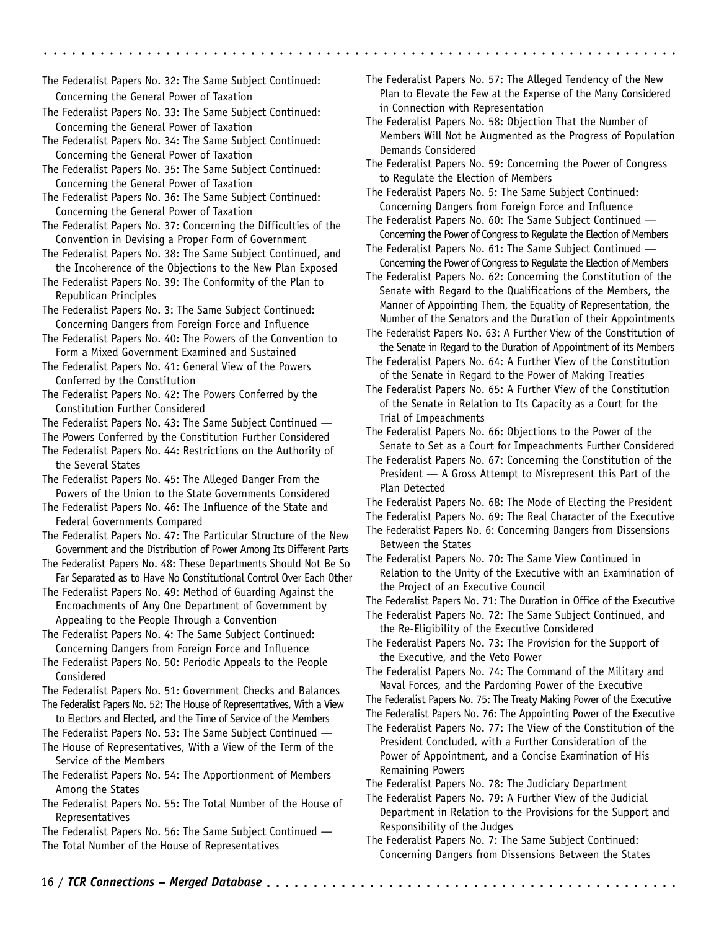The Federalist Papers No. 32: The Same Subject Continued: Concerning the General Power of Taxation

- The Federalist Papers No. 33: The Same Subject Continued: Concerning the General Power of Taxation
- The Federalist Papers No. 34: The Same Subject Continued: Concerning the General Power of Taxation

The Federalist Papers No. 35: The Same Subject Continued: Concerning the General Power of Taxation

The Federalist Papers No. 36: The Same Subject Continued: Concerning the General Power of Taxation

- The Federalist Papers No. 37: Concerning the Difficulties of the Convention in Devising a Proper Form of Government
- The Federalist Papers No. 38: The Same Subject Continued, and the Incoherence of the Objections to the New Plan Exposed

The Federalist Papers No. 39: The Conformity of the Plan to Republican Principles

The Federalist Papers No. 3: The Same Subject Continued: Concerning Dangers from Foreign Force and Influence

The Federalist Papers No. 40: The Powers of the Convention to Form a Mixed Government Examined and Sustained

The Federalist Papers No. 41: General View of the Powers Conferred by the Constitution

The Federalist Papers No. 42: The Powers Conferred by the Constitution Further Considered

The Federalist Papers No. 43: The Same Subject Continued —

The Powers Conferred by the Constitution Further Considered

The Federalist Papers No. 44: Restrictions on the Authority of the Several States

The Federalist Papers No. 45: The Alleged Danger From the Powers of the Union to the State Governments Considered

The Federalist Papers No. 46: The Influence of the State and Federal Governments Compared

The Federalist Papers No. 47: The Particular Structure of the New Government and the Distribution of Power Among Its Different Parts

The Federalist Papers No. 48: These Departments Should Not Be So Far Separated as to Have No Constitutional Control Over Each Other

The Federalist Papers No. 49: Method of Guarding Against the Encroachments of Any One Department of Government by Appealing to the People Through a Convention

The Federalist Papers No. 4: The Same Subject Continued: Concerning Dangers from Foreign Force and Influence

The Federalist Papers No. 50: Periodic Appeals to the People Considered

The Federalist Papers No. 51: Government Checks and Balances The Federalist Papers No. 52: The House of Representatives, With a View

to Electors and Elected, and the Time of Service of the Members

The Federalist Papers No. 53: The Same Subject Continued —

The House of Representatives, With a View of the Term of the Service of the Members

The Federalist Papers No. 54: The Apportionment of Members Among the States

The Federalist Papers No. 55: The Total Number of the House of Representatives

The Federalist Papers No. 56: The Same Subject Continued — The Total Number of the House of Representatives

The Federalist Papers No. 57: The Alleged Tendency of the New Plan to Elevate the Few at the Expense of the Many Considered in Connection with Representation

aaaaaaaaaaaaaaaaaaaaaaaaaaaaaaaaaaaa aaaaaaaaaaaaaaaaaaaaaaaaaaaaaaaa

- The Federalist Papers No. 58: Objection That the Number of Members Will Not be Augmented as the Progress of Population Demands Considered
- The Federalist Papers No. 59: Concerning the Power of Congress to Regulate the Election of Members

The Federalist Papers No. 5: The Same Subject Continued: Concerning Dangers from Foreign Force and Influence

The Federalist Papers No. 60: The Same Subject Continued -Concerning the Power of Congress to Regulate the Election of Members

The Federalist Papers No. 61: The Same Subject Continued — Concerning the Power of Congress to Regulate the Election of Members

The Federalist Papers No. 62: Concerning the Constitution of the Senate with Regard to the Qualifications of the Members, the Manner of Appointing Them, the Equality of Representation, the Number of the Senators and the Duration of their Appointments

The Federalist Papers No. 63: A Further View of the Constitution of the Senate in Regard to the Duration of Appointment of its Members

The Federalist Papers No. 64: A Further View of the Constitution of the Senate in Regard to the Power of Making Treaties

The Federalist Papers No. 65: A Further View of the Constitution of the Senate in Relation to Its Capacity as a Court for the Trial of Impeachments

The Federalist Papers No. 66: Objections to the Power of the Senate to Set as a Court for Impeachments Further Considered

- The Federalist Papers No. 67: Concerning the Constitution of the President — A Gross Attempt to Misrepresent this Part of the Plan Detected
- The Federalist Papers No. 68: The Mode of Electing the President
- The Federalist Papers No. 69: The Real Character of the Executive
- The Federalist Papers No. 6: Concerning Dangers from Dissensions Between the States

The Federalist Papers No. 70: The Same View Continued in Relation to the Unity of the Executive with an Examination of the Project of an Executive Council

The Federalist Papers No. 71: The Duration in Office of the Executive

The Federalist Papers No. 72: The Same Subject Continued, and the Re-Eligibility of the Executive Considered

The Federalist Papers No. 73: The Provision for the Support of the Executive, and the Veto Power

The Federalist Papers No. 74: The Command of the Military and Naval Forces, and the Pardoning Power of the Executive

The Federalist Papers No. 75: The Treaty Making Power of the Executive

- The Federalist Papers No. 76: The Appointing Power of the Executive
- The Federalist Papers No. 77: The View of the Constitution of the President Concluded, with a Further Consideration of the Power of Appointment, and a Concise Examination of His Remaining Powers

The Federalist Papers No. 78: The Judiciary Department

The Federalist Papers No. 79: A Further View of the Judicial Department in Relation to the Provisions for the Support and Responsibility of the Judges

The Federalist Papers No. 7: The Same Subject Continued: Concerning Dangers from Dissensions Between the States